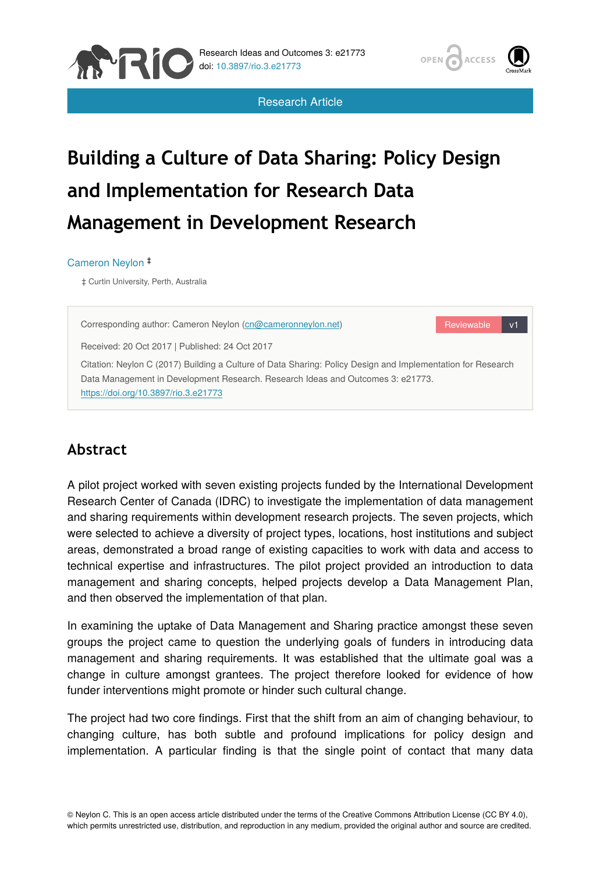

Research Article



# **Building a Culture of Data Sharing: Policy Design and Implementation for Research Data Management in Development Research**

#### Cameron Neylon ‡

‡ Curtin University, Perth, Australia



# **Abstract**

A pilot project worked with seven existing projects funded by the International Development Research Center of Canada (IDRC) to investigate the implementation of data management and sharing requirements within development research projects. The seven projects, which were selected to achieve a diversity of project types, locations, host institutions and subject areas, demonstrated a broad range of existing capacities to work with data and access to technical expertise and infrastructures. The pilot project provided an introduction to data management and sharing concepts, helped projects develop a Data Management Plan, and then observed the implementation of that plan.

In examining the uptake of Data Management and Sharing practice amongst these seven groups the project came to question the underlying goals of funders in introducing data management and sharing requirements. It was established that the ultimate goal was a change in culture amongst grantees. The project therefore looked for evidence of how funder interventions might promote or hinder such cultural change.

The project had two core findings. First that the shift from an aim of changing behaviour, to changing culture, has both subtle and profound implications for policy design and implementation. A particular finding is that the single point of contact that many data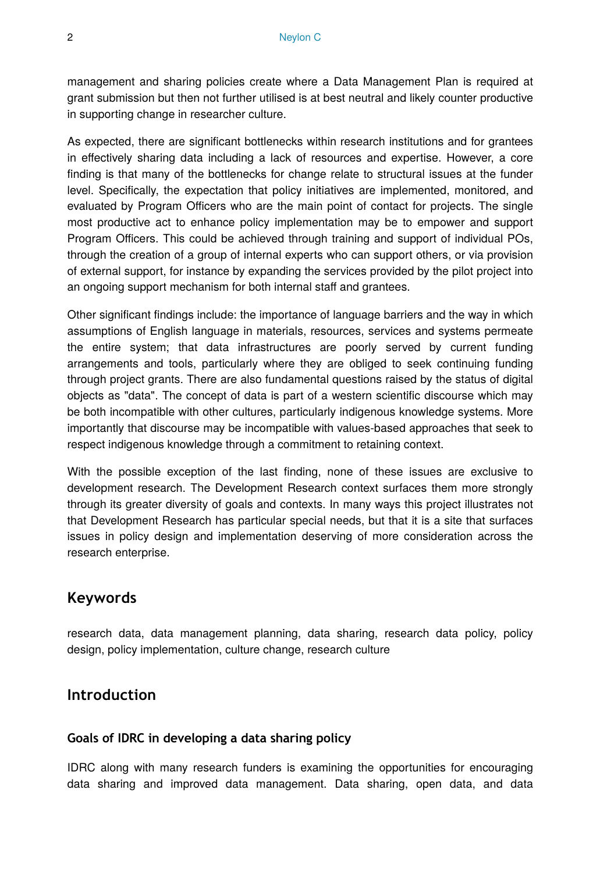management and sharing policies create where a Data Management Plan is required at grant submission but then not further utilised is at best neutral and likely counter productive in supporting change in researcher culture.

As expected, there are significant bottlenecks within research institutions and for grantees in effectively sharing data including a lack of resources and expertise. However, a core finding is that many of the bottlenecks for change relate to structural issues at the funder level. Specifically, the expectation that policy initiatives are implemented, monitored, and evaluated by Program Officers who are the main point of contact for projects. The single most productive act to enhance policy implementation may be to empower and support Program Officers. This could be achieved through training and support of individual POs, through the creation of a group of internal experts who can support others, or via provision of external support, for instance by expanding the services provided by the pilot project into an ongoing support mechanism for both internal staff and grantees.

Other significant findings include: the importance of language barriers and the way in which assumptions of English language in materials, resources, services and systems permeate the entire system; that data infrastructures are poorly served by current funding arrangements and tools, particularly where they are obliged to seek continuing funding through project grants. There are also fundamental questions raised by the status of digital objects as "data". The concept of data is part of a western scientific discourse which may be both incompatible with other cultures, particularly indigenous knowledge systems. More importantly that discourse may be incompatible with values-based approaches that seek to respect indigenous knowledge through a commitment to retaining context.

With the possible exception of the last finding, none of these issues are exclusive to development research. The Development Research context surfaces them more strongly through its greater diversity of goals and contexts. In many ways this project illustrates not that Development Research has particular special needs, but that it is a site that surfaces issues in policy design and implementation deserving of more consideration across the research enterprise.

# **Keywords**

research data, data management planning, data sharing, research data policy, policy design, policy implementation, culture change, research culture

# **Introduction**

# **Goals of IDRC in developing a data sharing policy**

IDRC along with many research funders is examining the opportunities for encouraging data sharing and improved data management. Data sharing, open data, and data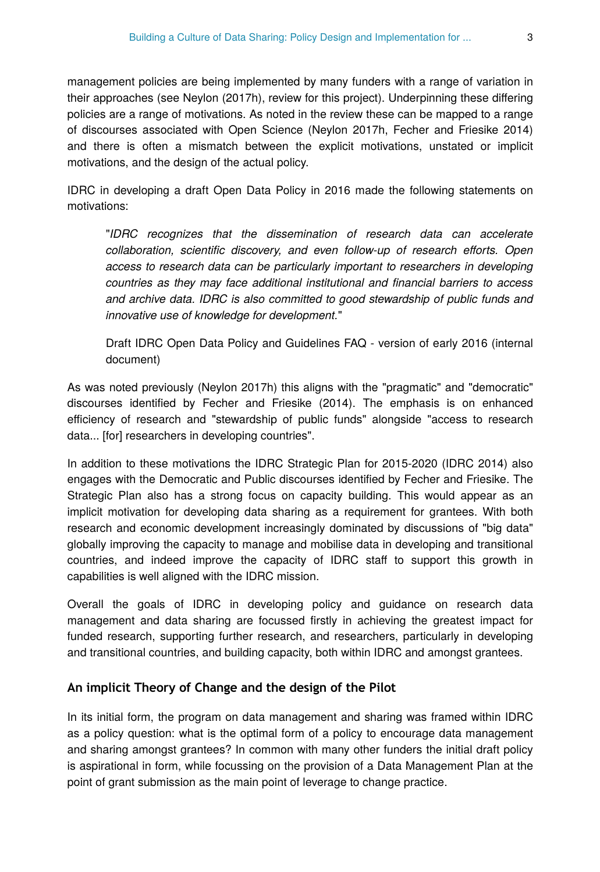management policies are being implemented by many funders with a range of variation in their approaches (see Neylon (2017h), review for this project). Underpinning these differing policies are a range of motivations. As noted in the review these can be mapped to a range of discourses associated with Open Science (Neylon 2017h, Fecher and Friesike 2014) and there is often a mismatch between the explicit motivations, unstated or implicit motivations, and the design of the actual policy.

IDRC in developing a draft Open Data Policy in 2016 made the following statements on motivations:

"*IDRC recognizes that the dissemination of research data can accelerate collaboration, scientific discovery, and even follow-up of research efforts. Open access to research data can be particularly important to researchers in developing countries as they may face additional institutional and financial barriers to access and archive data. IDRC is also committed to good stewardship of public funds and innovative use of knowledge for development.*"

Draft IDRC Open Data Policy and Guidelines FAQ - version of early 2016 (internal document)

As was noted previously (Neylon 2017h) this aligns with the "pragmatic" and "democratic" discourses identified by Fecher and Friesike (2014). The emphasis is on enhanced efficiency of research and "stewardship of public funds" alongside "access to research data... [for] researchers in developing countries".

In addition to these motivations the IDRC Strategic Plan for 2015-2020 (IDRC 2014) also engages with the Democratic and Public discourses identified by Fecher and Friesike. The Strategic Plan also has a strong focus on capacity building. This would appear as an implicit motivation for developing data sharing as a requirement for grantees. With both research and economic development increasingly dominated by discussions of "big data" globally improving the capacity to manage and mobilise data in developing and transitional countries, and indeed improve the capacity of IDRC staff to support this growth in capabilities is well aligned with the IDRC mission.

Overall the goals of IDRC in developing policy and guidance on research data management and data sharing are focussed firstly in achieving the greatest impact for funded research, supporting further research, and researchers, particularly in developing and transitional countries, and building capacity, both within IDRC and amongst grantees.

## **An implicit Theory of Change and the design of the Pilot**

In its initial form, the program on data management and sharing was framed within IDRC as a policy question: what is the optimal form of a policy to encourage data management and sharing amongst grantees? In common with many other funders the initial draft policy is aspirational in form, while focussing on the provision of a Data Management Plan at the point of grant submission as the main point of leverage to change practice.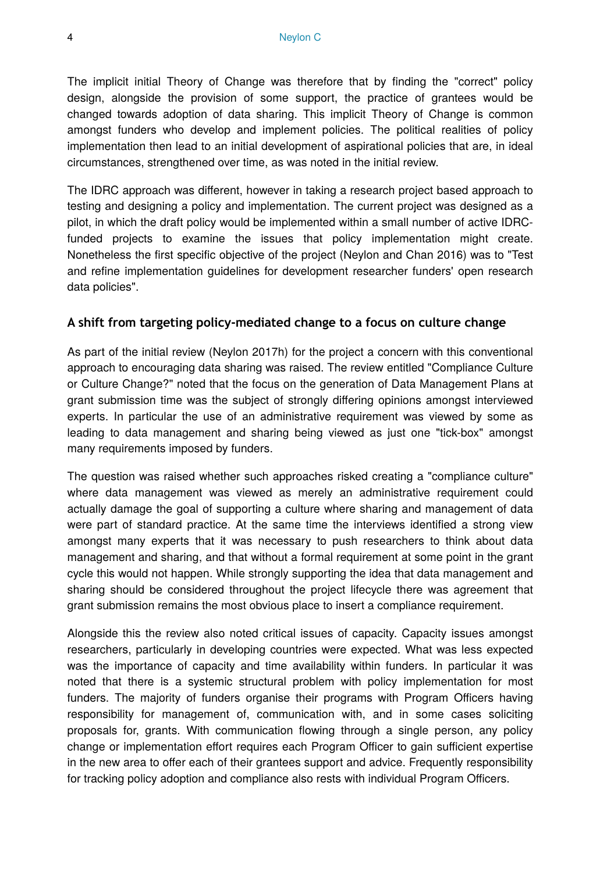The implicit initial Theory of Change was therefore that by finding the "correct" policy design, alongside the provision of some support, the practice of grantees would be changed towards adoption of data sharing. This implicit Theory of Change is common amongst funders who develop and implement policies. The political realities of policy implementation then lead to an initial development of aspirational policies that are, in ideal circumstances, strengthened over time, as was noted in the initial review.

The IDRC approach was different, however in taking a research project based approach to testing and designing a policy and implementation. The current project was designed as a pilot, in which the draft policy would be implemented within a small number of active IDRCfunded projects to examine the issues that policy implementation might create. Nonetheless the first specific objective of the project (Neylon and Chan 2016) was to "Test and refine implementation guidelines for development researcher funders' open research data policies".

#### **A shift from targeting policy-mediated change to a focus on culture change**

As part of the initial review (Neylon 2017h) for the project a concern with this conventional approach to encouraging data sharing was raised. The review entitled "Compliance Culture or Culture Change?" noted that the focus on the generation of Data Management Plans at grant submission time was the subject of strongly differing opinions amongst interviewed experts. In particular the use of an administrative requirement was viewed by some as leading to data management and sharing being viewed as just one "tick-box" amongst many requirements imposed by funders.

The question was raised whether such approaches risked creating a "compliance culture" where data management was viewed as merely an administrative requirement could actually damage the goal of supporting a culture where sharing and management of data were part of standard practice. At the same time the interviews identified a strong view amongst many experts that it was necessary to push researchers to think about data management and sharing, and that without a formal requirement at some point in the grant cycle this would not happen. While strongly supporting the idea that data management and sharing should be considered throughout the project lifecycle there was agreement that grant submission remains the most obvious place to insert a compliance requirement.

Alongside this the review also noted critical issues of capacity. Capacity issues amongst researchers, particularly in developing countries were expected. What was less expected was the importance of capacity and time availability within funders. In particular it was noted that there is a systemic structural problem with policy implementation for most funders. The majority of funders organise their programs with Program Officers having responsibility for management of, communication with, and in some cases soliciting proposals for, grants. With communication flowing through a single person, any policy change or implementation effort requires each Program Officer to gain sufficient expertise in the new area to offer each of their grantees support and advice. Frequently responsibility for tracking policy adoption and compliance also rests with individual Program Officers.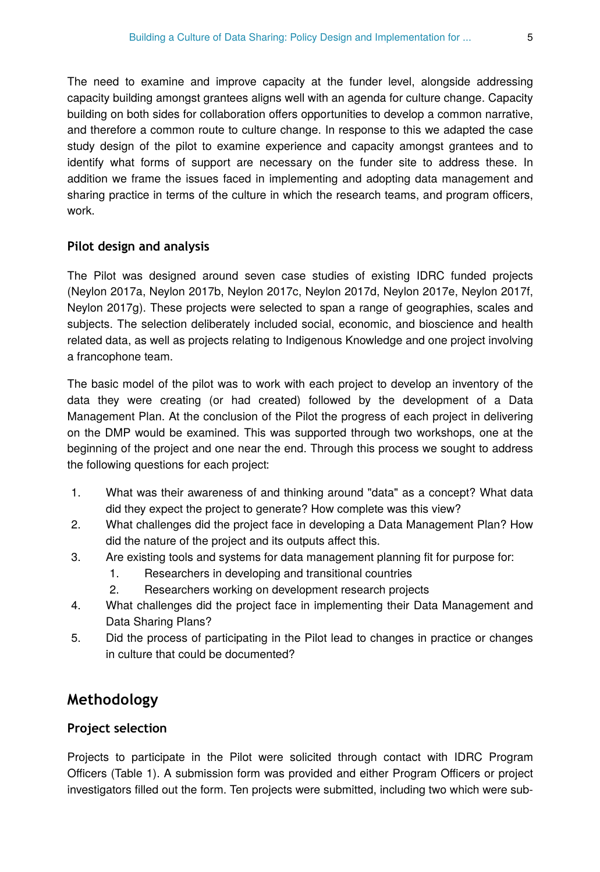The need to examine and improve capacity at the funder level, alongside addressing capacity building amongst grantees aligns well with an agenda for culture change. Capacity building on both sides for collaboration offers opportunities to develop a common narrative, and therefore a common route to culture change. In response to this we adapted the case study design of the pilot to examine experience and capacity amongst grantees and to identify what forms of support are necessary on the funder site to address these. In addition we frame the issues faced in implementing and adopting data management and sharing practice in terms of the culture in which the research teams, and program officers, work.

# **Pilot design and analysis**

The Pilot was designed around seven case studies of existing IDRC funded projects (Neylon 2017a, Neylon 2017b, Neylon 2017c, Neylon 2017d, Neylon 2017e, Neylon 2017f, Neylon 2017g). These projects were selected to span a range of geographies, scales and subjects. The selection deliberately included social, economic, and bioscience and health related data, as well as projects relating to Indigenous Knowledge and one project involving a francophone team.

The basic model of the pilot was to work with each project to develop an inventory of the data they were creating (or had created) followed by the development of a Data Management Plan. At the conclusion of the Pilot the progress of each project in delivering on the DMP would be examined. This was supported through two workshops, one at the beginning of the project and one near the end. Through this process we sought to address the following questions for each project:

- 1. What was their awareness of and thinking around "data" as a concept? What data did they expect the project to generate? How complete was this view?
- 2. What challenges did the project face in developing a Data Management Plan? How did the nature of the project and its outputs affect this.
- 3. Are existing tools and systems for data management planning fit for purpose for:
	- 1. Researchers in developing and transitional countries
	- 2. Researchers working on development research projects
- 4. What challenges did the project face in implementing their Data Management and Data Sharing Plans?
- 5. Did the process of participating in the Pilot lead to changes in practice or changes in culture that could be documented?

# **Methodology**

# **Project selection**

Projects to participate in the Pilot were solicited through contact with IDRC Program Officers (Table 1). A submission form was provided and either Program Officers or project investigators filled out the form. Ten projects were submitted, including two which were sub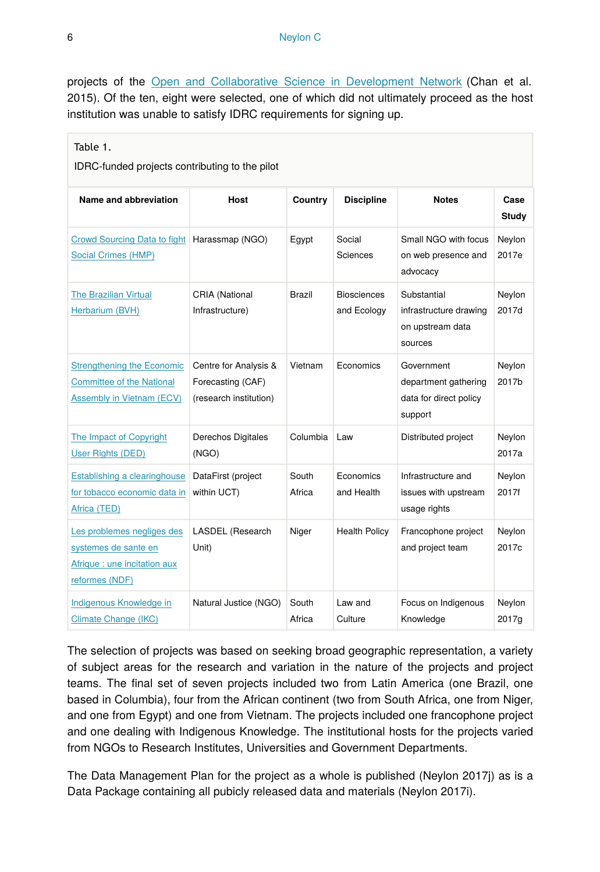projects of the [Open and Collaborative Science in Development Network](https://ocsdnet.org/) (Chan et al. 2015). Of the ten, eight were selected, one of which did not ultimately proceed as the host institution was unable to satisfy IDRC requirements for signing up.

| Table 1.<br>IDRC-funded projects contributing to the pilot                                           |                                                                      |                 |                                   |                                                                         |                      |
|------------------------------------------------------------------------------------------------------|----------------------------------------------------------------------|-----------------|-----------------------------------|-------------------------------------------------------------------------|----------------------|
| Name and abbreviation                                                                                | Host                                                                 | Country         | <b>Discipline</b>                 | <b>Notes</b>                                                            | Case<br><b>Study</b> |
| <b>Crowd Sourcing Data to fight</b><br>Social Crimes (HMP)                                           | Harassmap (NGO)                                                      | Egypt           | Social<br>Sciences                | Small NGO with focus<br>on web presence and<br>advocacy                 | Neylon<br>2017e      |
| <b>The Brazilian Virtual</b><br>Herbarium (BVH)                                                      | CRIA (National<br>Infrastructure)                                    | Brazil          | <b>Biosciences</b><br>and Ecology | Substantial<br>infrastructure drawing<br>on upstream data<br>sources    | Neylon<br>2017d      |
| Strengthening the Economic<br><b>Committee of the National</b><br>Assembly in Vietnam (ECV)          | Centre for Analysis &<br>Forecasting (CAF)<br>(research institution) | Vietnam         | Economics                         | Government<br>department gathering<br>data for direct policy<br>support | Neylon<br>2017b      |
| The Impact of Copyright<br>User Rights (DED)                                                         | Derechos Digitales<br>(NGO)                                          | Columbia        | Law                               | Distributed project                                                     | Neylon<br>2017a      |
| Establishing a clearinghouse<br>for tobacco economic data in<br>Africa (TED)                         | DataFirst (project<br>within UCT)                                    | South<br>Africa | Economics<br>and Health           | Infrastructure and<br>issues with upstream<br>usage rights              | Neylon<br>2017f      |
| Les problemes negliges des<br>systemes de sante en<br>Afrique : une incitation aux<br>reformes (NDF) | LASDEL (Research<br>Unit)                                            | Niger           | <b>Health Policy</b>              | Francophone project<br>and project team                                 | Neylon<br>2017c      |
| Indigenous Knowledge in<br>Climate Change (IKC)                                                      | Natural Justice (NGO)                                                | South<br>Africa | Law and<br>Culture                | Focus on Indigenous<br>Knowledge                                        | Neylon<br>2017q      |

The selection of projects was based on seeking broad geographic representation, a variety of subject areas for the research and variation in the nature of the projects and project teams. The final set of seven projects included two from Latin America (one Brazil, one based in Columbia), four from the African continent (two from South Africa, one from Niger, and one from Egypt) and one from Vietnam. The projects included one francophone project and one dealing with Indigenous Knowledge. The institutional hosts for the projects varied from NGOs to Research Institutes, Universities and Government Departments.

The Data Management Plan for the project as a whole is published (Neylon 2017j) as is a Data Package containing all pubicly released data and materials (Neylon 2017i).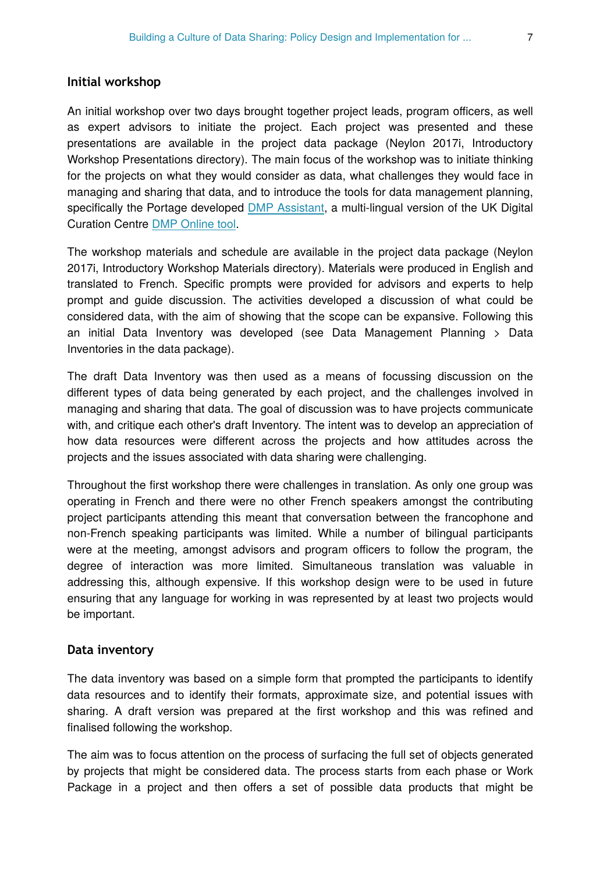#### **Initial workshop**

An initial workshop over two days brought together project leads, program officers, as well as expert advisors to initiate the project. Each project was presented and these presentations are available in the project data package (Neylon 2017i, Introductory Workshop Presentations directory). The main focus of the workshop was to initiate thinking for the projects on what they would consider as data, what challenges they would face in managing and sharing that data, and to introduce the tools for data management planning, specifically the Portage developed [DMP Assistant,](https://assistant.portagenetwork.ca) a multi-lingual version of the UK Digital Curation Centre [DMP Online tool.](https://dmponline.dcc.ac.uk)

The workshop materials and schedule are available in the project data package (Neylon 2017i, Introductory Workshop Materials directory). Materials were produced in English and translated to French. Specific prompts were provided for advisors and experts to help prompt and guide discussion. The activities developed a discussion of what could be considered data, with the aim of showing that the scope can be expansive. Following this an initial Data Inventory was developed (see Data Management Planning > Data Inventories in the data package).

The draft Data Inventory was then used as a means of focussing discussion on the different types of data being generated by each project, and the challenges involved in managing and sharing that data. The goal of discussion was to have projects communicate with, and critique each other's draft Inventory. The intent was to develop an appreciation of how data resources were different across the projects and how attitudes across the projects and the issues associated with data sharing were challenging.

Throughout the first workshop there were challenges in translation. As only one group was operating in French and there were no other French speakers amongst the contributing project participants attending this meant that conversation between the francophone and non-French speaking participants was limited. While a number of bilingual participants were at the meeting, amongst advisors and program officers to follow the program, the degree of interaction was more limited. Simultaneous translation was valuable in addressing this, although expensive. If this workshop design were to be used in future ensuring that any language for working in was represented by at least two projects would be important.

# **Data inventory**

The data inventory was based on a simple form that prompted the participants to identify data resources and to identify their formats, approximate size, and potential issues with sharing. A draft version was prepared at the first workshop and this was refined and finalised following the workshop.

The aim was to focus attention on the process of surfacing the full set of objects generated by projects that might be considered data. The process starts from each phase or Work Package in a project and then offers a set of possible data products that might be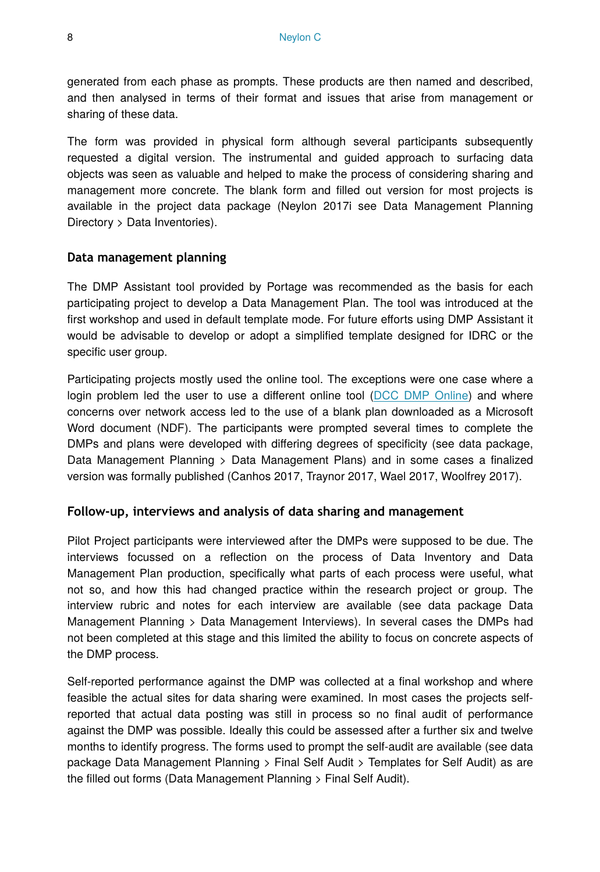generated from each phase as prompts. These products are then named and described, and then analysed in terms of their format and issues that arise from management or sharing of these data.

The form was provided in physical form although several participants subsequently requested a digital version. The instrumental and guided approach to surfacing data objects was seen as valuable and helped to make the process of considering sharing and management more concrete. The blank form and filled out version for most projects is available in the project data package (Neylon 2017i see Data Management Planning Directory > Data Inventories).

# **Data management planning**

The DMP Assistant tool provided by Portage was recommended as the basis for each participating project to develop a Data Management Plan. The tool was introduced at the first workshop and used in default template mode. For future efforts using DMP Assistant it would be advisable to develop or adopt a simplified template designed for IDRC or the specific user group.

Participating projects mostly used the online tool. The exceptions were one case where a login problem led the user to use a different online tool [\(DCC DMP Online\)](http://dmponline.dcc.ac.uk) and where concerns over network access led to the use of a blank plan downloaded as a Microsoft Word document (NDF). The participants were prompted several times to complete the DMPs and plans were developed with differing degrees of specificity (see data package, Data Management Planning > Data Management Plans) and in some cases a finalized version was formally published (Canhos 2017, Traynor 2017, Wael 2017, Woolfrey 2017).

# **Follow-up, interviews and analysis of data sharing and management**

Pilot Project participants were interviewed after the DMPs were supposed to be due. The interviews focussed on a reflection on the process of Data Inventory and Data Management Plan production, specifically what parts of each process were useful, what not so, and how this had changed practice within the research project or group. The interview rubric and notes for each interview are available (see data package Data Management Planning > Data Management Interviews). In several cases the DMPs had not been completed at this stage and this limited the ability to focus on concrete aspects of the DMP process.

Self-reported performance against the DMP was collected at a final workshop and where feasible the actual sites for data sharing were examined. In most cases the projects selfreported that actual data posting was still in process so no final audit of performance against the DMP was possible. Ideally this could be assessed after a further six and twelve months to identify progress. The forms used to prompt the self-audit are available (see data package Data Management Planning > Final Self Audit > Templates for Self Audit) as are the filled out forms (Data Management Planning > Final Self Audit).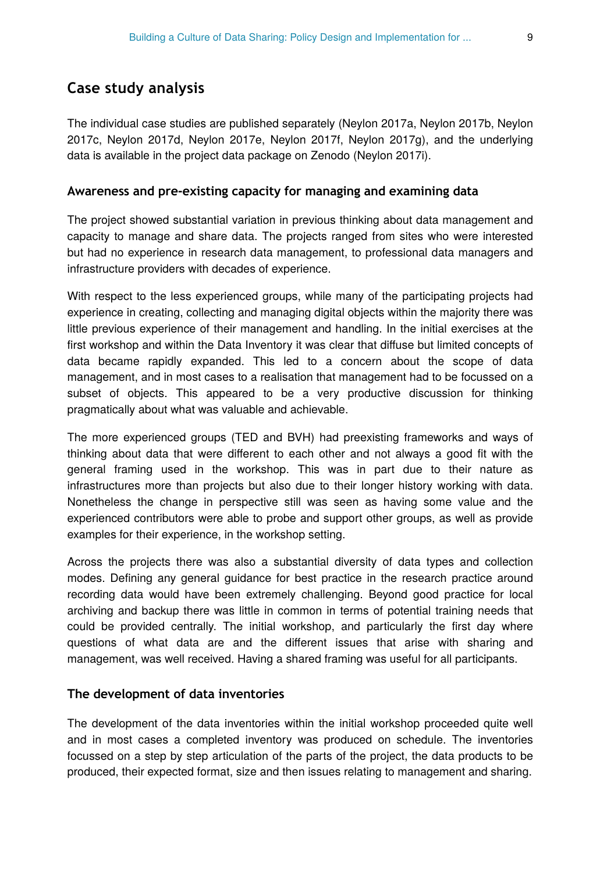# **Case study analysis**

The individual case studies are published separately (Neylon 2017a, Neylon 2017b, Neylon 2017c, Neylon 2017d, Neylon 2017e, Neylon 2017f, Neylon 2017g), and the underlying data is available in the project data package on Zenodo (Neylon 2017i).

### **Awareness and pre-existing capacity for managing and examining data**

The project showed substantial variation in previous thinking about data management and capacity to manage and share data. The projects ranged from sites who were interested but had no experience in research data management, to professional data managers and infrastructure providers with decades of experience.

With respect to the less experienced groups, while many of the participating projects had experience in creating, collecting and managing digital objects within the majority there was little previous experience of their management and handling. In the initial exercises at the first workshop and within the Data Inventory it was clear that diffuse but limited concepts of data became rapidly expanded. This led to a concern about the scope of data management, and in most cases to a realisation that management had to be focussed on a subset of objects. This appeared to be a very productive discussion for thinking pragmatically about what was valuable and achievable.

The more experienced groups (TED and BVH) had preexisting frameworks and ways of thinking about data that were different to each other and not always a good fit with the general framing used in the workshop. This was in part due to their nature as infrastructures more than projects but also due to their longer history working with data. Nonetheless the change in perspective still was seen as having some value and the experienced contributors were able to probe and support other groups, as well as provide examples for their experience, in the workshop setting.

Across the projects there was also a substantial diversity of data types and collection modes. Defining any general guidance for best practice in the research practice around recording data would have been extremely challenging. Beyond good practice for local archiving and backup there was little in common in terms of potential training needs that could be provided centrally. The initial workshop, and particularly the first day where questions of what data are and the different issues that arise with sharing and management, was well received. Having a shared framing was useful for all participants.

#### **The development of data inventories**

The development of the data inventories within the initial workshop proceeded quite well and in most cases a completed inventory was produced on schedule. The inventories focussed on a step by step articulation of the parts of the project, the data products to be produced, their expected format, size and then issues relating to management and sharing.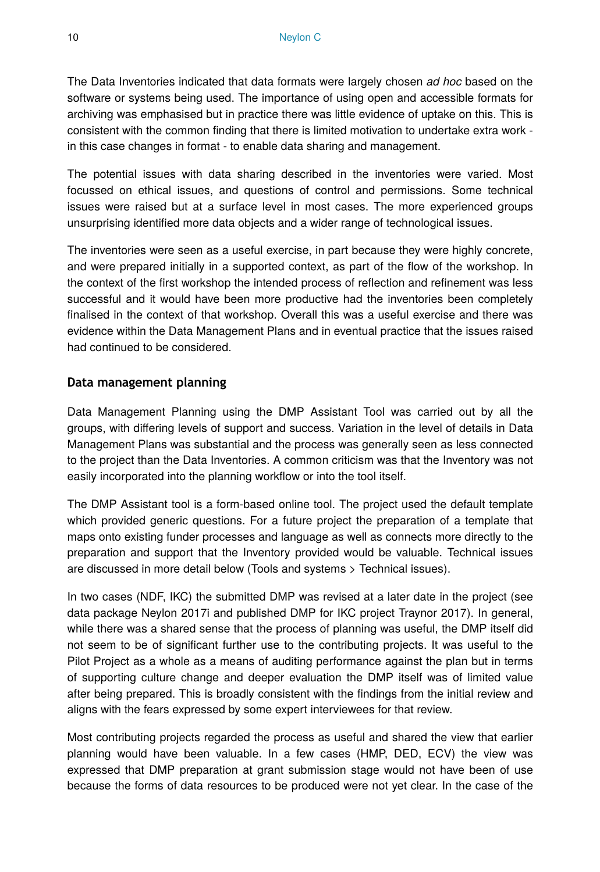The Data Inventories indicated that data formats were largely chosen *ad hoc* based on the software or systems being used. The importance of using open and accessible formats for archiving was emphasised but in practice there was little evidence of uptake on this. This is consistent with the common finding that there is limited motivation to undertake extra work in this case changes in format - to enable data sharing and management.

The potential issues with data sharing described in the inventories were varied. Most focussed on ethical issues, and questions of control and permissions. Some technical issues were raised but at a surface level in most cases. The more experienced groups unsurprising identified more data objects and a wider range of technological issues.

The inventories were seen as a useful exercise, in part because they were highly concrete, and were prepared initially in a supported context, as part of the flow of the workshop. In the context of the first workshop the intended process of reflection and refinement was less successful and it would have been more productive had the inventories been completely finalised in the context of that workshop. Overall this was a useful exercise and there was evidence within the Data Management Plans and in eventual practice that the issues raised had continued to be considered.

# **Data management planning**

Data Management Planning using the DMP Assistant Tool was carried out by all the groups, with differing levels of support and success. Variation in the level of details in Data Management Plans was substantial and the process was generally seen as less connected to the project than the Data Inventories. A common criticism was that the Inventory was not easily incorporated into the planning workflow or into the tool itself.

The DMP Assistant tool is a form-based online tool. The project used the default template which provided generic questions. For a future project the preparation of a template that maps onto existing funder processes and language as well as connects more directly to the preparation and support that the Inventory provided would be valuable. Technical issues are discussed in more detail below (Tools and systems > Technical issues).

In two cases (NDF, IKC) the submitted DMP was revised at a later date in the project (see data package Neylon 2017i and published DMP for IKC project Traynor 2017). In general, while there was a shared sense that the process of planning was useful, the DMP itself did not seem to be of significant further use to the contributing projects. It was useful to the Pilot Project as a whole as a means of auditing performance against the plan but in terms of supporting culture change and deeper evaluation the DMP itself was of limited value after being prepared. This is broadly consistent with the findings from the initial review and aligns with the fears expressed by some expert interviewees for that review.

Most contributing projects regarded the process as useful and shared the view that earlier planning would have been valuable. In a few cases (HMP, DED, ECV) the view was expressed that DMP preparation at grant submission stage would not have been of use because the forms of data resources to be produced were not yet clear. In the case of the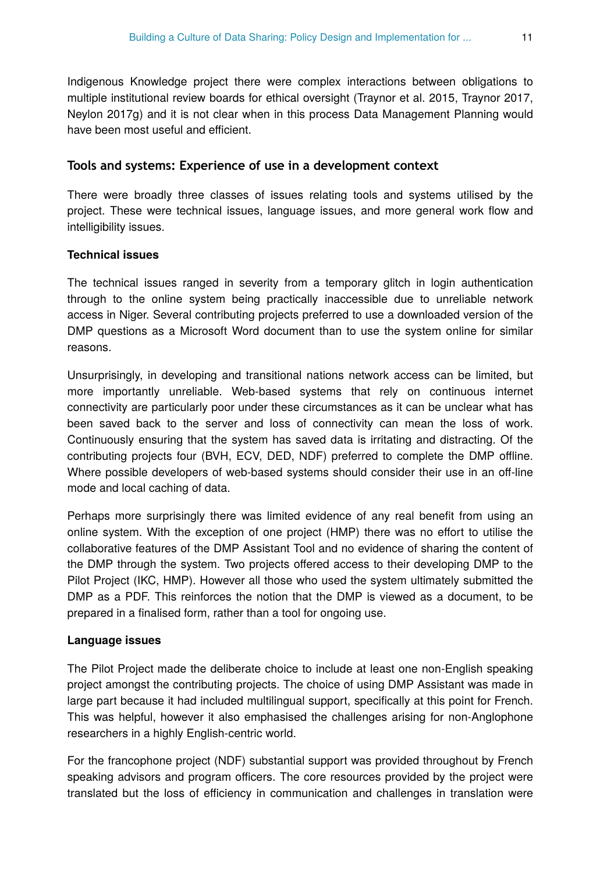Indigenous Knowledge project there were complex interactions between obligations to multiple institutional review boards for ethical oversight (Traynor et al. 2015, Traynor 2017, Neylon 2017g) and it is not clear when in this process Data Management Planning would have been most useful and efficient.

# **Tools and systems: Experience of use in a development context**

There were broadly three classes of issues relating tools and systems utilised by the project. These were technical issues, language issues, and more general work flow and intelligibility issues.

# **Technical issues**

The technical issues ranged in severity from a temporary glitch in login authentication through to the online system being practically inaccessible due to unreliable network access in Niger. Several contributing projects preferred to use a downloaded version of the DMP questions as a Microsoft Word document than to use the system online for similar reasons.

Unsurprisingly, in developing and transitional nations network access can be limited, but more importantly unreliable. Web-based systems that rely on continuous internet connectivity are particularly poor under these circumstances as it can be unclear what has been saved back to the server and loss of connectivity can mean the loss of work. Continuously ensuring that the system has saved data is irritating and distracting. Of the contributing projects four (BVH, ECV, DED, NDF) preferred to complete the DMP offline. Where possible developers of web-based systems should consider their use in an off-line mode and local caching of data.

Perhaps more surprisingly there was limited evidence of any real benefit from using an online system. With the exception of one project (HMP) there was no effort to utilise the collaborative features of the DMP Assistant Tool and no evidence of sharing the content of the DMP through the system. Two projects offered access to their developing DMP to the Pilot Project (IKC, HMP). However all those who used the system ultimately submitted the DMP as a PDF. This reinforces the notion that the DMP is viewed as a document, to be prepared in a finalised form, rather than a tool for ongoing use.

#### **Language issues**

The Pilot Project made the deliberate choice to include at least one non-English speaking project amongst the contributing projects. The choice of using DMP Assistant was made in large part because it had included multilingual support, specifically at this point for French. This was helpful, however it also emphasised the challenges arising for non-Anglophone researchers in a highly English-centric world.

For the francophone project (NDF) substantial support was provided throughout by French speaking advisors and program officers. The core resources provided by the project were translated but the loss of efficiency in communication and challenges in translation were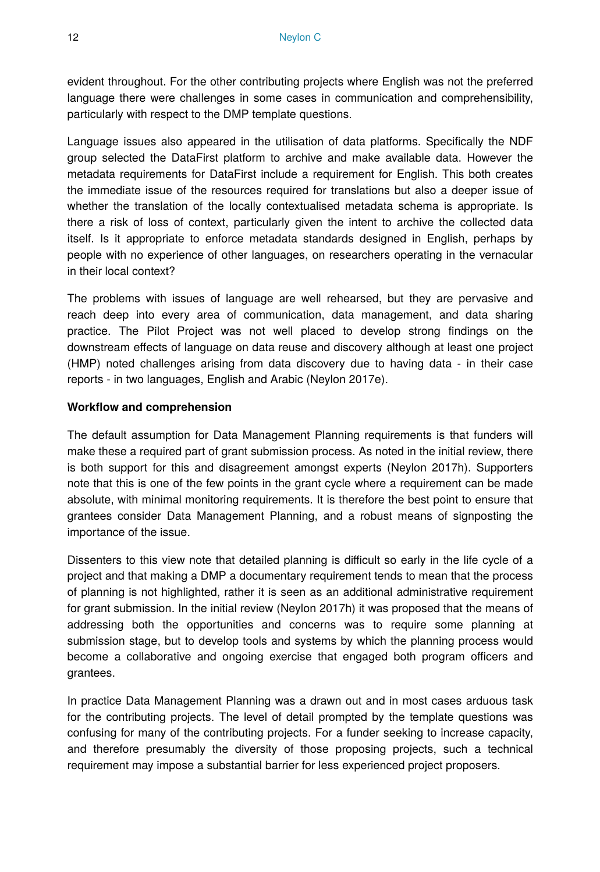evident throughout. For the other contributing projects where English was not the preferred language there were challenges in some cases in communication and comprehensibility, particularly with respect to the DMP template questions.

Language issues also appeared in the utilisation of data platforms. Specifically the NDF group selected the DataFirst platform to archive and make available data. However the metadata requirements for DataFirst include a requirement for English. This both creates the immediate issue of the resources required for translations but also a deeper issue of whether the translation of the locally contextualised metadata schema is appropriate. Is there a risk of loss of context, particularly given the intent to archive the collected data itself. Is it appropriate to enforce metadata standards designed in English, perhaps by people with no experience of other languages, on researchers operating in the vernacular in their local context?

The problems with issues of language are well rehearsed, but they are pervasive and reach deep into every area of communication, data management, and data sharing practice. The Pilot Project was not well placed to develop strong findings on the downstream effects of language on data reuse and discovery although at least one project (HMP) noted challenges arising from data discovery due to having data - in their case reports - in two languages, English and Arabic (Neylon 2017e).

#### **Workflow and comprehension**

The default assumption for Data Management Planning requirements is that funders will make these a required part of grant submission process. As noted in the initial review, there is both support for this and disagreement amongst experts (Neylon 2017h). Supporters note that this is one of the few points in the grant cycle where a requirement can be made absolute, with minimal monitoring requirements. It is therefore the best point to ensure that grantees consider Data Management Planning, and a robust means of signposting the importance of the issue.

Dissenters to this view note that detailed planning is difficult so early in the life cycle of a project and that making a DMP a documentary requirement tends to mean that the process of planning is not highlighted, rather it is seen as an additional administrative requirement for grant submission. In the initial review (Neylon 2017h) it was proposed that the means of addressing both the opportunities and concerns was to require some planning at submission stage, but to develop tools and systems by which the planning process would become a collaborative and ongoing exercise that engaged both program officers and grantees.

In practice Data Management Planning was a drawn out and in most cases arduous task for the contributing projects. The level of detail prompted by the template questions was confusing for many of the contributing projects. For a funder seeking to increase capacity, and therefore presumably the diversity of those proposing projects, such a technical requirement may impose a substantial barrier for less experienced project proposers.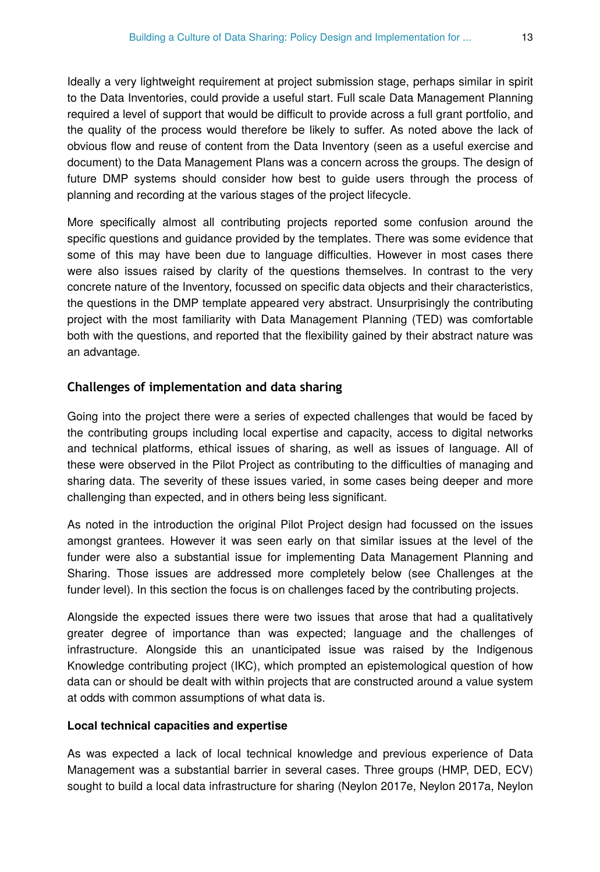Ideally a very lightweight requirement at project submission stage, perhaps similar in spirit to the Data Inventories, could provide a useful start. Full scale Data Management Planning required a level of support that would be difficult to provide across a full grant portfolio, and the quality of the process would therefore be likely to suffer. As noted above the lack of obvious flow and reuse of content from the Data Inventory (seen as a useful exercise and document) to the Data Management Plans was a concern across the groups. The design of future DMP systems should consider how best to guide users through the process of planning and recording at the various stages of the project lifecycle.

More specifically almost all contributing projects reported some confusion around the specific questions and guidance provided by the templates. There was some evidence that some of this may have been due to language difficulties. However in most cases there were also issues raised by clarity of the questions themselves. In contrast to the very concrete nature of the Inventory, focussed on specific data objects and their characteristics, the questions in the DMP template appeared very abstract. Unsurprisingly the contributing project with the most familiarity with Data Management Planning (TED) was comfortable both with the questions, and reported that the flexibility gained by their abstract nature was an advantage.

#### **Challenges of implementation and data sharing**

Going into the project there were a series of expected challenges that would be faced by the contributing groups including local expertise and capacity, access to digital networks and technical platforms, ethical issues of sharing, as well as issues of language. All of these were observed in the Pilot Project as contributing to the difficulties of managing and sharing data. The severity of these issues varied, in some cases being deeper and more challenging than expected, and in others being less significant.

As noted in the introduction the original Pilot Project design had focussed on the issues amongst grantees. However it was seen early on that similar issues at the level of the funder were also a substantial issue for implementing Data Management Planning and Sharing. Those issues are addressed more completely below (see Challenges at the funder level). In this section the focus is on challenges faced by the contributing projects.

Alongside the expected issues there were two issues that arose that had a qualitatively greater degree of importance than was expected; language and the challenges of infrastructure. Alongside this an unanticipated issue was raised by the Indigenous Knowledge contributing project (IKC), which prompted an epistemological question of how data can or should be dealt with within projects that are constructed around a value system at odds with common assumptions of what data is.

#### **Local technical capacities and expertise**

As was expected a lack of local technical knowledge and previous experience of Data Management was a substantial barrier in several cases. Three groups (HMP, DED, ECV) sought to build a local data infrastructure for sharing (Neylon 2017e, Neylon 2017a, Neylon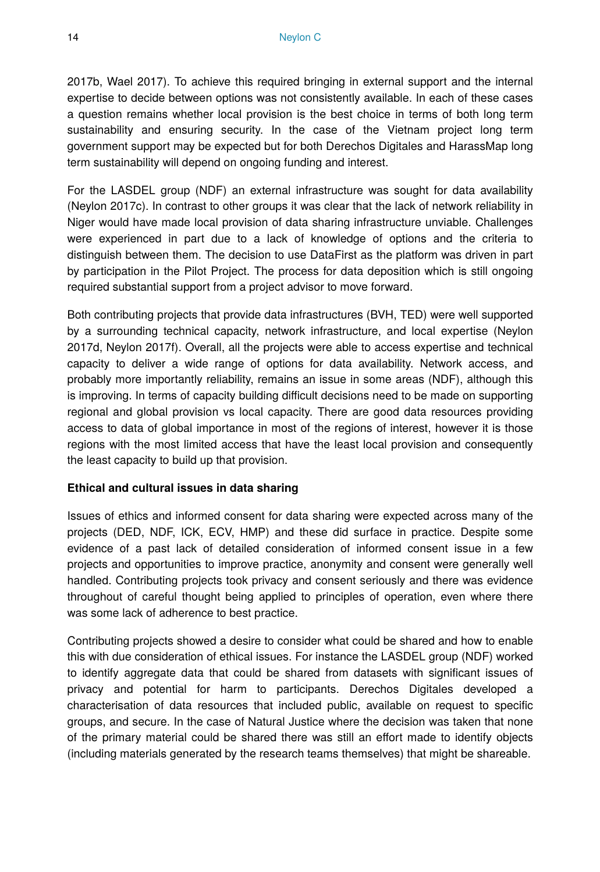2017b, Wael 2017). To achieve this required bringing in external support and the internal expertise to decide between options was not consistently available. In each of these cases a question remains whether local provision is the best choice in terms of both long term sustainability and ensuring security. In the case of the Vietnam project long term government support may be expected but for both Derechos Digitales and HarassMap long term sustainability will depend on ongoing funding and interest.

For the LASDEL group (NDF) an external infrastructure was sought for data availability (Neylon 2017c). In contrast to other groups it was clear that the lack of network reliability in Niger would have made local provision of data sharing infrastructure unviable. Challenges were experienced in part due to a lack of knowledge of options and the criteria to distinguish between them. The decision to use DataFirst as the platform was driven in part by participation in the Pilot Project. The process for data deposition which is still ongoing required substantial support from a project advisor to move forward.

Both contributing projects that provide data infrastructures (BVH, TED) were well supported by a surrounding technical capacity, network infrastructure, and local expertise (Neylon 2017d, Neylon 2017f). Overall, all the projects were able to access expertise and technical capacity to deliver a wide range of options for data availability. Network access, and probably more importantly reliability, remains an issue in some areas (NDF), although this is improving. In terms of capacity building difficult decisions need to be made on supporting regional and global provision vs local capacity. There are good data resources providing access to data of global importance in most of the regions of interest, however it is those regions with the most limited access that have the least local provision and consequently the least capacity to build up that provision.

#### **Ethical and cultural issues in data sharing**

Issues of ethics and informed consent for data sharing were expected across many of the projects (DED, NDF, ICK, ECV, HMP) and these did surface in practice. Despite some evidence of a past lack of detailed consideration of informed consent issue in a few projects and opportunities to improve practice, anonymity and consent were generally well handled. Contributing projects took privacy and consent seriously and there was evidence throughout of careful thought being applied to principles of operation, even where there was some lack of adherence to best practice.

Contributing projects showed a desire to consider what could be shared and how to enable this with due consideration of ethical issues. For instance the LASDEL group (NDF) worked to identify aggregate data that could be shared from datasets with significant issues of privacy and potential for harm to participants. Derechos Digitales developed a characterisation of data resources that included public, available on request to specific groups, and secure. In the case of Natural Justice where the decision was taken that none of the primary material could be shared there was still an effort made to identify objects (including materials generated by the research teams themselves) that might be shareable.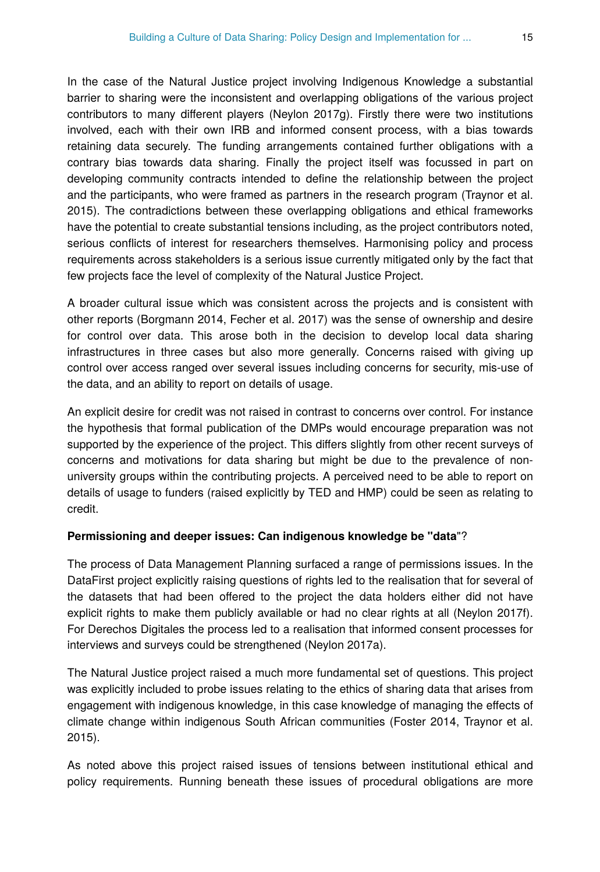In the case of the Natural Justice project involving Indigenous Knowledge a substantial barrier to sharing were the inconsistent and overlapping obligations of the various project contributors to many different players (Neylon 2017g). Firstly there were two institutions involved, each with their own IRB and informed consent process, with a bias towards retaining data securely. The funding arrangements contained further obligations with a contrary bias towards data sharing. Finally the project itself was focussed in part on developing community contracts intended to define the relationship between the project and the participants, who were framed as partners in the research program (Traynor et al. 2015). The contradictions between these overlapping obligations and ethical frameworks have the potential to create substantial tensions including, as the project contributors noted, serious conflicts of interest for researchers themselves. Harmonising policy and process requirements across stakeholders is a serious issue currently mitigated only by the fact that few projects face the level of complexity of the Natural Justice Project.

A broader cultural issue which was consistent across the projects and is consistent with other reports (Borgmann 2014, Fecher et al. 2017) was the sense of ownership and desire for control over data. This arose both in the decision to develop local data sharing infrastructures in three cases but also more generally. Concerns raised with giving up control over access ranged over several issues including concerns for security, mis-use of the data, and an ability to report on details of usage.

An explicit desire for credit was not raised in contrast to concerns over control. For instance the hypothesis that formal publication of the DMPs would encourage preparation was not supported by the experience of the project. This differs slightly from other recent surveys of concerns and motivations for data sharing but might be due to the prevalence of nonuniversity groups within the contributing projects. A perceived need to be able to report on details of usage to funders (raised explicitly by TED and HMP) could be seen as relating to credit.

#### **Permissioning and deeper issues: Can indigenous knowledge be "data**"?

The process of Data Management Planning surfaced a range of permissions issues. In the DataFirst project explicitly raising questions of rights led to the realisation that for several of the datasets that had been offered to the project the data holders either did not have explicit rights to make them publicly available or had no clear rights at all (Neylon 2017f). For Derechos Digitales the process led to a realisation that informed consent processes for interviews and surveys could be strengthened (Neylon 2017a).

The Natural Justice project raised a much more fundamental set of questions. This project was explicitly included to probe issues relating to the ethics of sharing data that arises from engagement with indigenous knowledge, in this case knowledge of managing the effects of climate change within indigenous South African communities (Foster 2014, Traynor et al. 2015).

As noted above this project raised issues of tensions between institutional ethical and policy requirements. Running beneath these issues of procedural obligations are more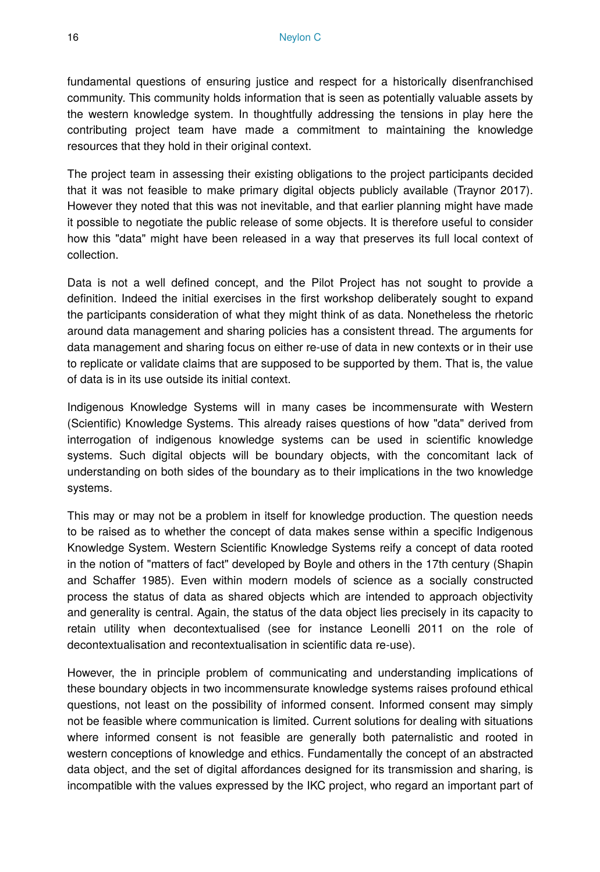fundamental questions of ensuring justice and respect for a historically disenfranchised community. This community holds information that is seen as potentially valuable assets by the western knowledge system. In thoughtfully addressing the tensions in play here the contributing project team have made a commitment to maintaining the knowledge resources that they hold in their original context.

The project team in assessing their existing obligations to the project participants decided that it was not feasible to make primary digital objects publicly available (Traynor 2017). However they noted that this was not inevitable, and that earlier planning might have made it possible to negotiate the public release of some objects. It is therefore useful to consider how this "data" might have been released in a way that preserves its full local context of collection.

Data is not a well defined concept, and the Pilot Project has not sought to provide a definition. Indeed the initial exercises in the first workshop deliberately sought to expand the participants consideration of what they might think of as data. Nonetheless the rhetoric around data management and sharing policies has a consistent thread. The arguments for data management and sharing focus on either re-use of data in new contexts or in their use to replicate or validate claims that are supposed to be supported by them. That is, the value of data is in its use outside its initial context.

Indigenous Knowledge Systems will in many cases be incommensurate with Western (Scientific) Knowledge Systems. This already raises questions of how "data" derived from interrogation of indigenous knowledge systems can be used in scientific knowledge systems. Such digital objects will be boundary objects, with the concomitant lack of understanding on both sides of the boundary as to their implications in the two knowledge systems.

This may or may not be a problem in itself for knowledge production. The question needs to be raised as to whether the concept of data makes sense within a specific Indigenous Knowledge System. Western Scientific Knowledge Systems reify a concept of data rooted in the notion of "matters of fact" developed by Boyle and others in the 17th century (Shapin and Schaffer 1985). Even within modern models of science as a socially constructed process the status of data as shared objects which are intended to approach objectivity and generality is central. Again, the status of the data object lies precisely in its capacity to retain utility when decontextualised (see for instance Leonelli 2011 on the role of decontextualisation and recontextualisation in scientific data re-use).

However, the in principle problem of communicating and understanding implications of these boundary objects in two incommensurate knowledge systems raises profound ethical questions, not least on the possibility of informed consent. Informed consent may simply not be feasible where communication is limited. Current solutions for dealing with situations where informed consent is not feasible are generally both paternalistic and rooted in western conceptions of knowledge and ethics. Fundamentally the concept of an abstracted data object, and the set of digital affordances designed for its transmission and sharing, is incompatible with the values expressed by the IKC project, who regard an important part of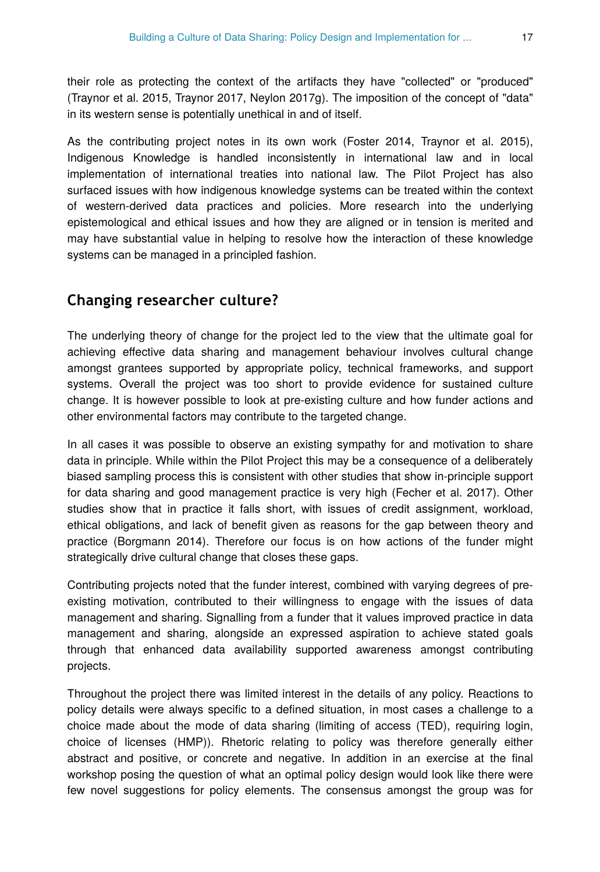their role as protecting the context of the artifacts they have "collected" or "produced" (Traynor et al. 2015, Traynor 2017, Neylon 2017g). The imposition of the concept of "data" in its western sense is potentially unethical in and of itself.

As the contributing project notes in its own work (Foster 2014, Traynor et al. 2015), Indigenous Knowledge is handled inconsistently in international law and in local implementation of international treaties into national law. The Pilot Project has also surfaced issues with how indigenous knowledge systems can be treated within the context of western-derived data practices and policies. More research into the underlying epistemological and ethical issues and how they are aligned or in tension is merited and may have substantial value in helping to resolve how the interaction of these knowledge systems can be managed in a principled fashion.

# **Changing researcher culture?**

The underlying theory of change for the project led to the view that the ultimate goal for achieving effective data sharing and management behaviour involves cultural change amongst grantees supported by appropriate policy, technical frameworks, and support systems. Overall the project was too short to provide evidence for sustained culture change. It is however possible to look at pre-existing culture and how funder actions and other environmental factors may contribute to the targeted change.

In all cases it was possible to observe an existing sympathy for and motivation to share data in principle. While within the Pilot Project this may be a consequence of a deliberately biased sampling process this is consistent with other studies that show in-principle support for data sharing and good management practice is very high (Fecher et al. 2017). Other studies show that in practice it falls short, with issues of credit assignment, workload, ethical obligations, and lack of benefit given as reasons for the gap between theory and practice (Borgmann 2014). Therefore our focus is on how actions of the funder might strategically drive cultural change that closes these gaps.

Contributing projects noted that the funder interest, combined with varying degrees of preexisting motivation, contributed to their willingness to engage with the issues of data management and sharing. Signalling from a funder that it values improved practice in data management and sharing, alongside an expressed aspiration to achieve stated goals through that enhanced data availability supported awareness amongst contributing projects.

Throughout the project there was limited interest in the details of any policy. Reactions to policy details were always specific to a defined situation, in most cases a challenge to a choice made about the mode of data sharing (limiting of access (TED), requiring login, choice of licenses (HMP)). Rhetoric relating to policy was therefore generally either abstract and positive, or concrete and negative. In addition in an exercise at the final workshop posing the question of what an optimal policy design would look like there were few novel suggestions for policy elements. The consensus amongst the group was for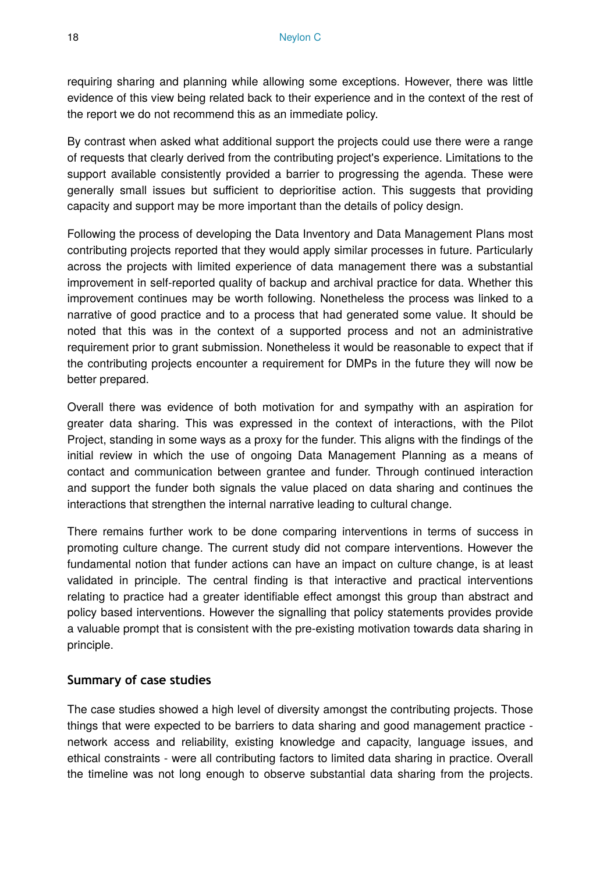requiring sharing and planning while allowing some exceptions. However, there was little evidence of this view being related back to their experience and in the context of the rest of the report we do not recommend this as an immediate policy.

By contrast when asked what additional support the projects could use there were a range of requests that clearly derived from the contributing project's experience. Limitations to the support available consistently provided a barrier to progressing the agenda. These were generally small issues but sufficient to deprioritise action. This suggests that providing capacity and support may be more important than the details of policy design.

Following the process of developing the Data Inventory and Data Management Plans most contributing projects reported that they would apply similar processes in future. Particularly across the projects with limited experience of data management there was a substantial improvement in self-reported quality of backup and archival practice for data. Whether this improvement continues may be worth following. Nonetheless the process was linked to a narrative of good practice and to a process that had generated some value. It should be noted that this was in the context of a supported process and not an administrative requirement prior to grant submission. Nonetheless it would be reasonable to expect that if the contributing projects encounter a requirement for DMPs in the future they will now be better prepared.

Overall there was evidence of both motivation for and sympathy with an aspiration for greater data sharing. This was expressed in the context of interactions, with the Pilot Project, standing in some ways as a proxy for the funder. This aligns with the findings of the initial review in which the use of ongoing Data Management Planning as a means of contact and communication between grantee and funder. Through continued interaction and support the funder both signals the value placed on data sharing and continues the interactions that strengthen the internal narrative leading to cultural change.

There remains further work to be done comparing interventions in terms of success in promoting culture change. The current study did not compare interventions. However the fundamental notion that funder actions can have an impact on culture change, is at least validated in principle. The central finding is that interactive and practical interventions relating to practice had a greater identifiable effect amongst this group than abstract and policy based interventions. However the signalling that policy statements provides provide a valuable prompt that is consistent with the pre-existing motivation towards data sharing in principle.

# **Summary of case studies**

The case studies showed a high level of diversity amongst the contributing projects. Those things that were expected to be barriers to data sharing and good management practice network access and reliability, existing knowledge and capacity, language issues, and ethical constraints - were all contributing factors to limited data sharing in practice. Overall the timeline was not long enough to observe substantial data sharing from the projects.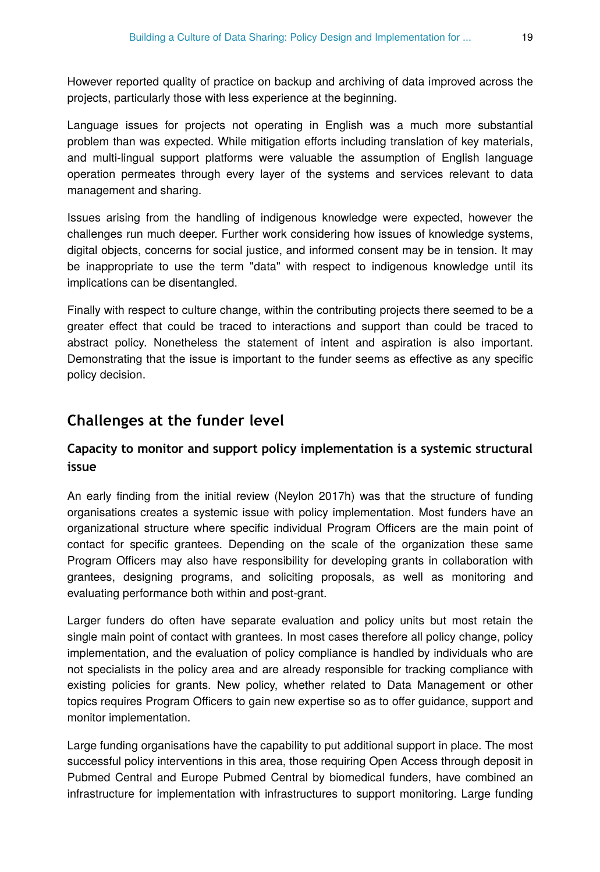However reported quality of practice on backup and archiving of data improved across the projects, particularly those with less experience at the beginning.

Language issues for projects not operating in English was a much more substantial problem than was expected. While mitigation efforts including translation of key materials, and multi-lingual support platforms were valuable the assumption of English language operation permeates through every layer of the systems and services relevant to data management and sharing.

Issues arising from the handling of indigenous knowledge were expected, however the challenges run much deeper. Further work considering how issues of knowledge systems, digital objects, concerns for social justice, and informed consent may be in tension. It may be inappropriate to use the term "data" with respect to indigenous knowledge until its implications can be disentangled.

Finally with respect to culture change, within the contributing projects there seemed to be a greater effect that could be traced to interactions and support than could be traced to abstract policy. Nonetheless the statement of intent and aspiration is also important. Demonstrating that the issue is important to the funder seems as effective as any specific policy decision.

# **Challenges at the funder level**

# **Capacity to monitor and support policy implementation is a systemic structural issue**

An early finding from the initial review (Neylon 2017h) was that the structure of funding organisations creates a systemic issue with policy implementation. Most funders have an organizational structure where specific individual Program Officers are the main point of contact for specific grantees. Depending on the scale of the organization these same Program Officers may also have responsibility for developing grants in collaboration with grantees, designing programs, and soliciting proposals, as well as monitoring and evaluating performance both within and post-grant.

Larger funders do often have separate evaluation and policy units but most retain the single main point of contact with grantees. In most cases therefore all policy change, policy implementation, and the evaluation of policy compliance is handled by individuals who are not specialists in the policy area and are already responsible for tracking compliance with existing policies for grants. New policy, whether related to Data Management or other topics requires Program Officers to gain new expertise so as to offer guidance, support and monitor implementation.

Large funding organisations have the capability to put additional support in place. The most successful policy interventions in this area, those requiring Open Access through deposit in Pubmed Central and Europe Pubmed Central by biomedical funders, have combined an infrastructure for implementation with infrastructures to support monitoring. Large funding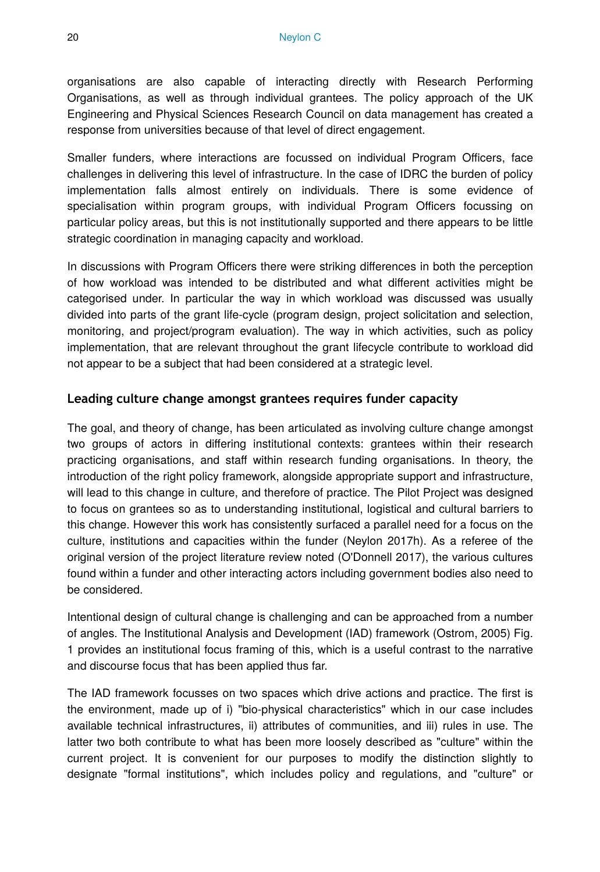organisations are also capable of interacting directly with Research Performing Organisations, as well as through individual grantees. The policy approach of the UK Engineering and Physical Sciences Research Council on data management has created a response from universities because of that level of direct engagement.

Smaller funders, where interactions are focussed on individual Program Officers, face challenges in delivering this level of infrastructure. In the case of IDRC the burden of policy implementation falls almost entirely on individuals. There is some evidence of specialisation within program groups, with individual Program Officers focussing on particular policy areas, but this is not institutionally supported and there appears to be little strategic coordination in managing capacity and workload.

In discussions with Program Officers there were striking differences in both the perception of how workload was intended to be distributed and what different activities might be categorised under. In particular the way in which workload was discussed was usually divided into parts of the grant life-cycle (program design, project solicitation and selection, monitoring, and project/program evaluation). The way in which activities, such as policy implementation, that are relevant throughout the grant lifecycle contribute to workload did not appear to be a subject that had been considered at a strategic level.

# **Leading culture change amongst grantees requires funder capacity**

The goal, and theory of change, has been articulated as involving culture change amongst two groups of actors in differing institutional contexts: grantees within their research practicing organisations, and staff within research funding organisations. In theory, the introduction of the right policy framework, alongside appropriate support and infrastructure, will lead to this change in culture, and therefore of practice. The Pilot Project was designed to focus on grantees so as to understanding institutional, logistical and cultural barriers to this change. However this work has consistently surfaced a parallel need for a focus on the culture, institutions and capacities within the funder (Neylon 2017h). As a referee of the original version of the project literature review noted (O'Donnell 2017), the various cultures found within a funder and other interacting actors including government bodies also need to be considered.

Intentional design of cultural change is challenging and can be approached from a number of angles. The Institutional Analysis and Development (IAD) framework (Ostrom, 2005) Fig. 1 provides an institutional focus framing of this, which is a useful contrast to the narrative and discourse focus that has been applied thus far.

The IAD framework focusses on two spaces which drive actions and practice. The first is the environment, made up of i) "bio-physical characteristics" which in our case includes available technical infrastructures, ii) attributes of communities, and iii) rules in use. The latter two both contribute to what has been more loosely described as "culture" within the current project. It is convenient for our purposes to modify the distinction slightly to designate "formal institutions", which includes policy and regulations, and "culture" or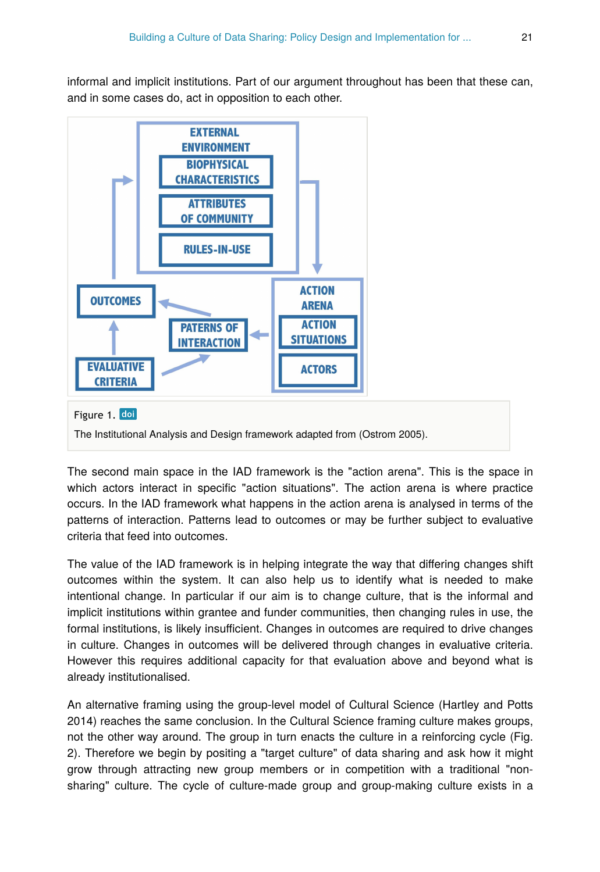informal and implicit institutions. Part of our argument throughout has been that these can, and in some cases do, act in opposition to each other.



The second main space in the IAD framework is the "action arena". This is the space in which actors interact in specific "action situations". The action arena is where practice occurs. In the IAD framework what happens in the action arena is analysed in terms of the patterns of interaction. Patterns lead to outcomes or may be further subject to evaluative criteria that feed into outcomes.

The value of the IAD framework is in helping integrate the way that differing changes shift outcomes within the system. It can also help us to identify what is needed to make intentional change. In particular if our aim is to change culture, that is the informal and implicit institutions within grantee and funder communities, then changing rules in use, the formal institutions, is likely insufficient. Changes in outcomes are required to drive changes in culture. Changes in outcomes will be delivered through changes in evaluative criteria. However this requires additional capacity for that evaluation above and beyond what is already institutionalised.

An alternative framing using the group-level model of Cultural Science (Hartley and Potts 2014) reaches the same conclusion. In the Cultural Science framing culture makes groups, not the other way around. The group in turn enacts the culture in a reinforcing cycle (Fig. 2). Therefore we begin by positing a "target culture" of data sharing and ask how it might grow through attracting new group members or in competition with a traditional "nonsharing" culture. The cycle of culture-made group and group-making culture exists in a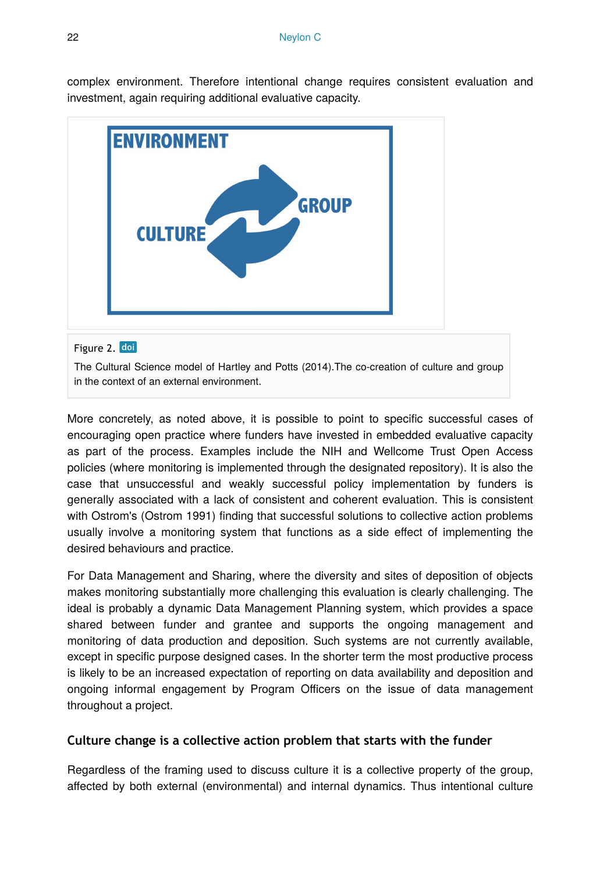complex environment. Therefore intentional change requires consistent evaluation and investment, again requiring additional evaluative capacity.



# Figure 2. doi

The Cultural Science model of Hartley and Potts (2014).The co-creation of culture and group in the context of an external environment.

More concretely, as noted above, it is possible to point to specific successful cases of encouraging open practice where funders have invested in embedded evaluative capacity as part of the process. Examples include the NIH and Wellcome Trust Open Access policies (where monitoring is implemented through the designated repository). It is also the case that unsuccessful and weakly successful policy implementation by funders is generally associated with a lack of consistent and coherent evaluation. This is consistent with Ostrom's (Ostrom 1991) finding that successful solutions to collective action problems usually involve a monitoring system that functions as a side effect of implementing the desired behaviours and practice.

For Data Management and Sharing, where the diversity and sites of deposition of objects makes monitoring substantially more challenging this evaluation is clearly challenging. The ideal is probably a dynamic Data Management Planning system, which provides a space shared between funder and grantee and supports the ongoing management and monitoring of data production and deposition. Such systems are not currently available, except in specific purpose designed cases. In the shorter term the most productive process is likely to be an increased expectation of reporting on data availability and deposition and ongoing informal engagement by Program Officers on the issue of data management throughout a project.

# **Culture change is a collective action problem that starts with the funder**

Regardless of the framing used to discuss culture it is a collective property of the group, affected by both external (environmental) and internal dynamics. Thus intentional culture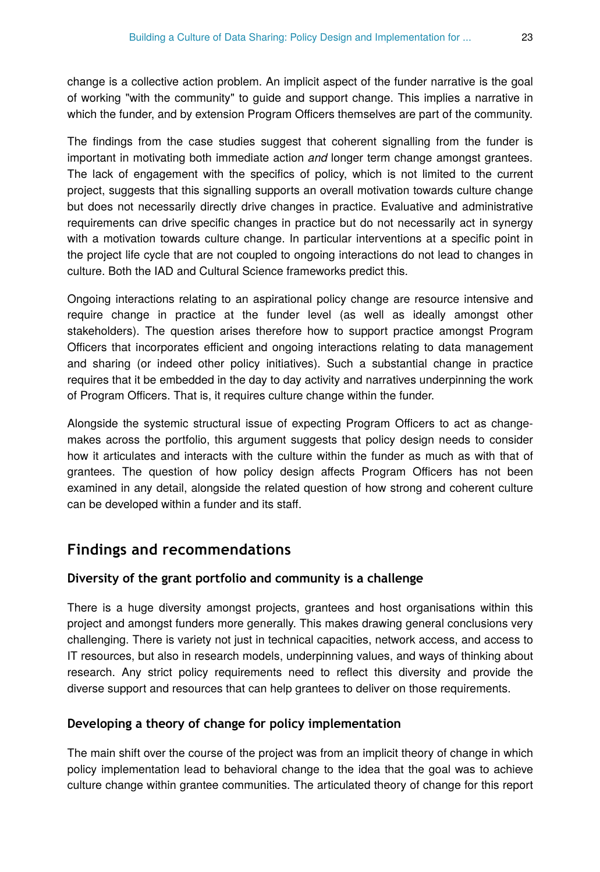change is a collective action problem. An implicit aspect of the funder narrative is the goal of working "with the community" to guide and support change. This implies a narrative in which the funder, and by extension Program Officers themselves are part of the community.

The findings from the case studies suggest that coherent signalling from the funder is important in motivating both immediate action *and* longer term change amongst grantees. The lack of engagement with the specifics of policy, which is not limited to the current project, suggests that this signalling supports an overall motivation towards culture change but does not necessarily directly drive changes in practice. Evaluative and administrative requirements can drive specific changes in practice but do not necessarily act in synergy with a motivation towards culture change. In particular interventions at a specific point in the project life cycle that are not coupled to ongoing interactions do not lead to changes in culture. Both the IAD and Cultural Science frameworks predict this.

Ongoing interactions relating to an aspirational policy change are resource intensive and require change in practice at the funder level (as well as ideally amongst other stakeholders). The question arises therefore how to support practice amongst Program Officers that incorporates efficient and ongoing interactions relating to data management and sharing (or indeed other policy initiatives). Such a substantial change in practice requires that it be embedded in the day to day activity and narratives underpinning the work of Program Officers. That is, it requires culture change within the funder.

Alongside the systemic structural issue of expecting Program Officers to act as changemakes across the portfolio, this argument suggests that policy design needs to consider how it articulates and interacts with the culture within the funder as much as with that of grantees. The question of how policy design affects Program Officers has not been examined in any detail, alongside the related question of how strong and coherent culture can be developed within a funder and its staff.

# **Findings and recommendations**

#### **Diversity of the grant portfolio and community is a challenge**

There is a huge diversity amongst projects, grantees and host organisations within this project and amongst funders more generally. This makes drawing general conclusions very challenging. There is variety not just in technical capacities, network access, and access to IT resources, but also in research models, underpinning values, and ways of thinking about research. Any strict policy requirements need to reflect this diversity and provide the diverse support and resources that can help grantees to deliver on those requirements.

# **Developing a theory of change for policy implementation**

The main shift over the course of the project was from an implicit theory of change in which policy implementation lead to behavioral change to the idea that the goal was to achieve culture change within grantee communities. The articulated theory of change for this report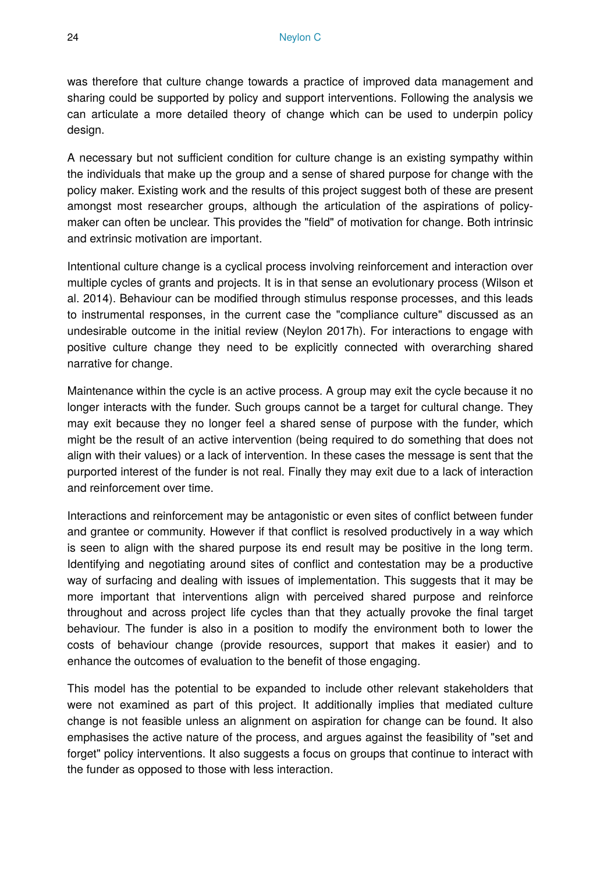was therefore that culture change towards a practice of improved data management and sharing could be supported by policy and support interventions. Following the analysis we can articulate a more detailed theory of change which can be used to underpin policy design.

A necessary but not sufficient condition for culture change is an existing sympathy within the individuals that make up the group and a sense of shared purpose for change with the policy maker. Existing work and the results of this project suggest both of these are present amongst most researcher groups, although the articulation of the aspirations of policymaker can often be unclear. This provides the "field" of motivation for change. Both intrinsic and extrinsic motivation are important.

Intentional culture change is a cyclical process involving reinforcement and interaction over multiple cycles of grants and projects. It is in that sense an evolutionary process (Wilson et al. 2014). Behaviour can be modified through stimulus response processes, and this leads to instrumental responses, in the current case the "compliance culture" discussed as an undesirable outcome in the initial review (Neylon 2017h). For interactions to engage with positive culture change they need to be explicitly connected with overarching shared narrative for change.

Maintenance within the cycle is an active process. A group may exit the cycle because it no longer interacts with the funder. Such groups cannot be a target for cultural change. They may exit because they no longer feel a shared sense of purpose with the funder, which might be the result of an active intervention (being required to do something that does not align with their values) or a lack of intervention. In these cases the message is sent that the purported interest of the funder is not real. Finally they may exit due to a lack of interaction and reinforcement over time.

Interactions and reinforcement may be antagonistic or even sites of conflict between funder and grantee or community. However if that conflict is resolved productively in a way which is seen to align with the shared purpose its end result may be positive in the long term. Identifying and negotiating around sites of conflict and contestation may be a productive way of surfacing and dealing with issues of implementation. This suggests that it may be more important that interventions align with perceived shared purpose and reinforce throughout and across project life cycles than that they actually provoke the final target behaviour. The funder is also in a position to modify the environment both to lower the costs of behaviour change (provide resources, support that makes it easier) and to enhance the outcomes of evaluation to the benefit of those engaging.

This model has the potential to be expanded to include other relevant stakeholders that were not examined as part of this project. It additionally implies that mediated culture change is not feasible unless an alignment on aspiration for change can be found. It also emphasises the active nature of the process, and argues against the feasibility of "set and forget" policy interventions. It also suggests a focus on groups that continue to interact with the funder as opposed to those with less interaction.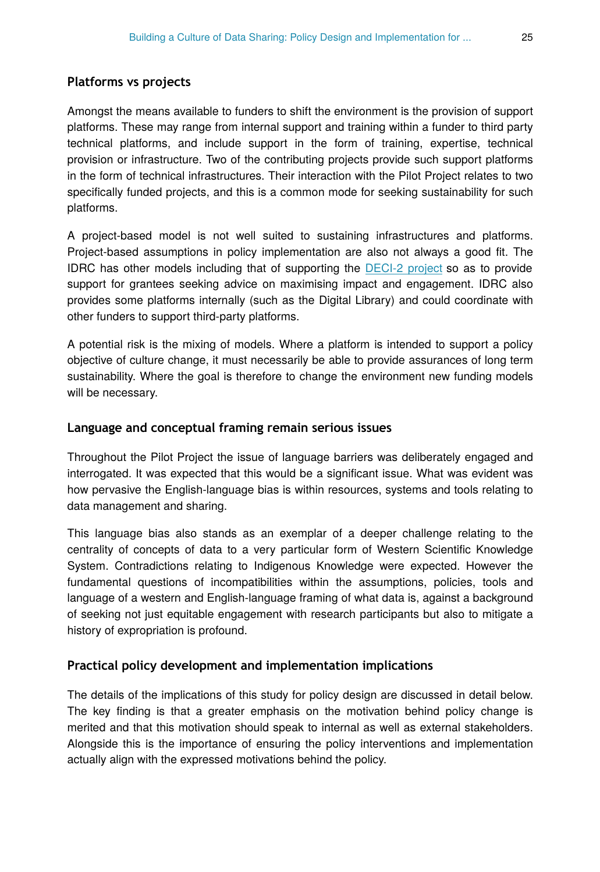# **Platforms vs projects**

Amongst the means available to funders to shift the environment is the provision of support platforms. These may range from internal support and training within a funder to third party technical platforms, and include support in the form of training, expertise, technical provision or infrastructure. Two of the contributing projects provide such support platforms in the form of technical infrastructures. Their interaction with the Pilot Project relates to two specifically funded projects, and this is a common mode for seeking sustainability for such platforms.

A project-based model is not well suited to sustaining infrastructures and platforms. Project-based assumptions in policy implementation are also not always a good fit. The IDRC has other models including that of supporting the [DECI-2 project](https://www.idrc.ca/en/project/developing-evaluation-and-communication-capacity-information-society-research-deci-2-0) so as to provide support for grantees seeking advice on maximising impact and engagement. IDRC also provides some platforms internally (such as the Digital Library) and could coordinate with other funders to support third-party platforms.

A potential risk is the mixing of models. Where a platform is intended to support a policy objective of culture change, it must necessarily be able to provide assurances of long term sustainability. Where the goal is therefore to change the environment new funding models will be necessary.

# **Language and conceptual framing remain serious issues**

Throughout the Pilot Project the issue of language barriers was deliberately engaged and interrogated. It was expected that this would be a significant issue. What was evident was how pervasive the English-language bias is within resources, systems and tools relating to data management and sharing.

This language bias also stands as an exemplar of a deeper challenge relating to the centrality of concepts of data to a very particular form of Western Scientific Knowledge System. Contradictions relating to Indigenous Knowledge were expected. However the fundamental questions of incompatibilities within the assumptions, policies, tools and language of a western and English-language framing of what data is, against a background of seeking not just equitable engagement with research participants but also to mitigate a history of expropriation is profound.

# **Practical policy development and implementation implications**

The details of the implications of this study for policy design are discussed in detail below. The key finding is that a greater emphasis on the motivation behind policy change is merited and that this motivation should speak to internal as well as external stakeholders. Alongside this is the importance of ensuring the policy interventions and implementation actually align with the expressed motivations behind the policy.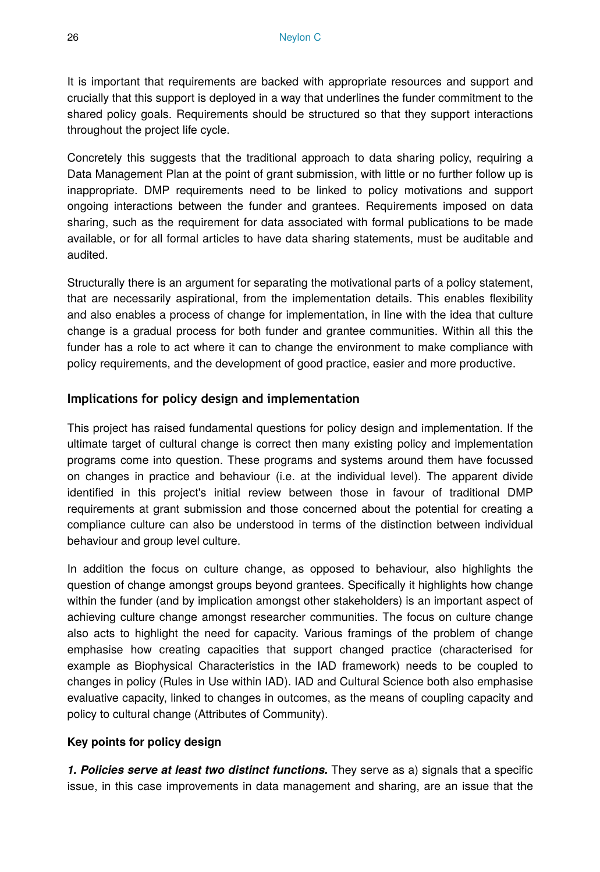It is important that requirements are backed with appropriate resources and support and crucially that this support is deployed in a way that underlines the funder commitment to the shared policy goals. Requirements should be structured so that they support interactions throughout the project life cycle.

Concretely this suggests that the traditional approach to data sharing policy, requiring a Data Management Plan at the point of grant submission, with little or no further follow up is inappropriate. DMP requirements need to be linked to policy motivations and support ongoing interactions between the funder and grantees. Requirements imposed on data sharing, such as the requirement for data associated with formal publications to be made available, or for all formal articles to have data sharing statements, must be auditable and audited.

Structurally there is an argument for separating the motivational parts of a policy statement, that are necessarily aspirational, from the implementation details. This enables flexibility and also enables a process of change for implementation, in line with the idea that culture change is a gradual process for both funder and grantee communities. Within all this the funder has a role to act where it can to change the environment to make compliance with policy requirements, and the development of good practice, easier and more productive.

#### **Implications for policy design and implementation**

This project has raised fundamental questions for policy design and implementation. If the ultimate target of cultural change is correct then many existing policy and implementation programs come into question. These programs and systems around them have focussed on changes in practice and behaviour (i.e. at the individual level). The apparent divide identified in this project's initial review between those in favour of traditional DMP requirements at grant submission and those concerned about the potential for creating a compliance culture can also be understood in terms of the distinction between individual behaviour and group level culture.

In addition the focus on culture change, as opposed to behaviour, also highlights the question of change amongst groups beyond grantees. Specifically it highlights how change within the funder (and by implication amongst other stakeholders) is an important aspect of achieving culture change amongst researcher communities. The focus on culture change also acts to highlight the need for capacity. Various framings of the problem of change emphasise how creating capacities that support changed practice (characterised for example as Biophysical Characteristics in the IAD framework) needs to be coupled to changes in policy (Rules in Use within IAD). IAD and Cultural Science both also emphasise evaluative capacity, linked to changes in outcomes, as the means of coupling capacity and policy to cultural change (Attributes of Community).

#### **Key points for policy design**

*1. Policies serve at least two distinct functions.* They serve as a) signals that a specific issue, in this case improvements in data management and sharing, are an issue that the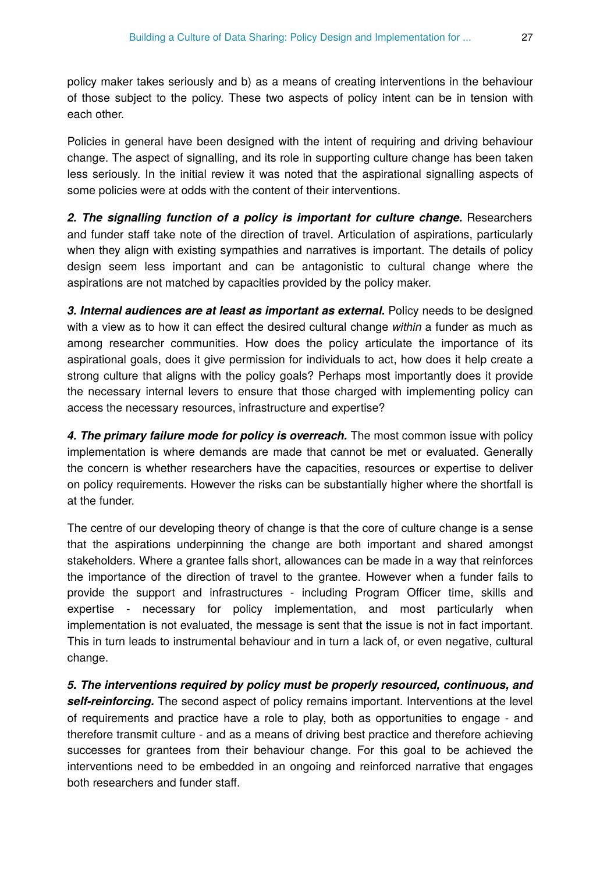policy maker takes seriously and b) as a means of creating interventions in the behaviour of those subject to the policy. These two aspects of policy intent can be in tension with each other.

Policies in general have been designed with the intent of requiring and driving behaviour change. The aspect of signalling, and its role in supporting culture change has been taken less seriously. In the initial review it was noted that the aspirational signalling aspects of some policies were at odds with the content of their interventions.

*2. The signalling function of a policy is important for culture change.* Researchers and funder staff take note of the direction of travel. Articulation of aspirations, particularly when they align with existing sympathies and narratives is important. The details of policy design seem less important and can be antagonistic to cultural change where the aspirations are not matched by capacities provided by the policy maker.

*3. Internal audiences are at least as important as external.* Policy needs to be designed with a view as to how it can effect the desired cultural change *within* a funder as much as among researcher communities. How does the policy articulate the importance of its aspirational goals, does it give permission for individuals to act, how does it help create a strong culture that aligns with the policy goals? Perhaps most importantly does it provide the necessary internal levers to ensure that those charged with implementing policy can access the necessary resources, infrastructure and expertise?

*4. The primary failure mode for policy is overreach.* The most common issue with policy implementation is where demands are made that cannot be met or evaluated. Generally the concern is whether researchers have the capacities, resources or expertise to deliver on policy requirements. However the risks can be substantially higher where the shortfall is at the funder.

The centre of our developing theory of change is that the core of culture change is a sense that the aspirations underpinning the change are both important and shared amongst stakeholders. Where a grantee falls short, allowances can be made in a way that reinforces the importance of the direction of travel to the grantee. However when a funder fails to provide the support and infrastructures - including Program Officer time, skills and expertise - necessary for policy implementation, and most particularly when implementation is not evaluated, the message is sent that the issue is not in fact important. This in turn leads to instrumental behaviour and in turn a lack of, or even negative, cultural change.

*5. The interventions required by policy must be properly resourced, continuous, and self-reinforcing.* The second aspect of policy remains important. Interventions at the level of requirements and practice have a role to play, both as opportunities to engage - and therefore transmit culture - and as a means of driving best practice and therefore achieving successes for grantees from their behaviour change. For this goal to be achieved the interventions need to be embedded in an ongoing and reinforced narrative that engages both researchers and funder staff.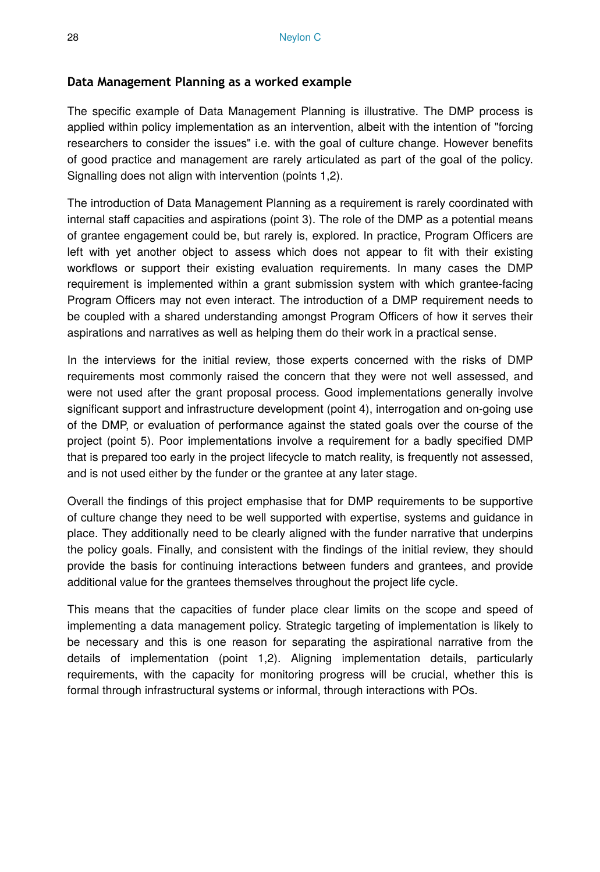#### **Data Management Planning as a worked example**

The specific example of Data Management Planning is illustrative. The DMP process is applied within policy implementation as an intervention, albeit with the intention of "forcing researchers to consider the issues" i.e. with the goal of culture change. However benefits of good practice and management are rarely articulated as part of the goal of the policy. Signalling does not align with intervention (points 1,2).

The introduction of Data Management Planning as a requirement is rarely coordinated with internal staff capacities and aspirations (point 3). The role of the DMP as a potential means of grantee engagement could be, but rarely is, explored. In practice, Program Officers are left with yet another object to assess which does not appear to fit with their existing workflows or support their existing evaluation requirements. In many cases the DMP requirement is implemented within a grant submission system with which grantee-facing Program Officers may not even interact. The introduction of a DMP requirement needs to be coupled with a shared understanding amongst Program Officers of how it serves their aspirations and narratives as well as helping them do their work in a practical sense.

In the interviews for the initial review, those experts concerned with the risks of DMP requirements most commonly raised the concern that they were not well assessed, and were not used after the grant proposal process. Good implementations generally involve significant support and infrastructure development (point 4), interrogation and on-going use of the DMP, or evaluation of performance against the stated goals over the course of the project (point 5). Poor implementations involve a requirement for a badly specified DMP that is prepared too early in the project lifecycle to match reality, is frequently not assessed, and is not used either by the funder or the grantee at any later stage.

Overall the findings of this project emphasise that for DMP requirements to be supportive of culture change they need to be well supported with expertise, systems and guidance in place. They additionally need to be clearly aligned with the funder narrative that underpins the policy goals. Finally, and consistent with the findings of the initial review, they should provide the basis for continuing interactions between funders and grantees, and provide additional value for the grantees themselves throughout the project life cycle.

This means that the capacities of funder place clear limits on the scope and speed of implementing a data management policy. Strategic targeting of implementation is likely to be necessary and this is one reason for separating the aspirational narrative from the details of implementation (point 1,2). Aligning implementation details, particularly requirements, with the capacity for monitoring progress will be crucial, whether this is formal through infrastructural systems or informal, through interactions with POs.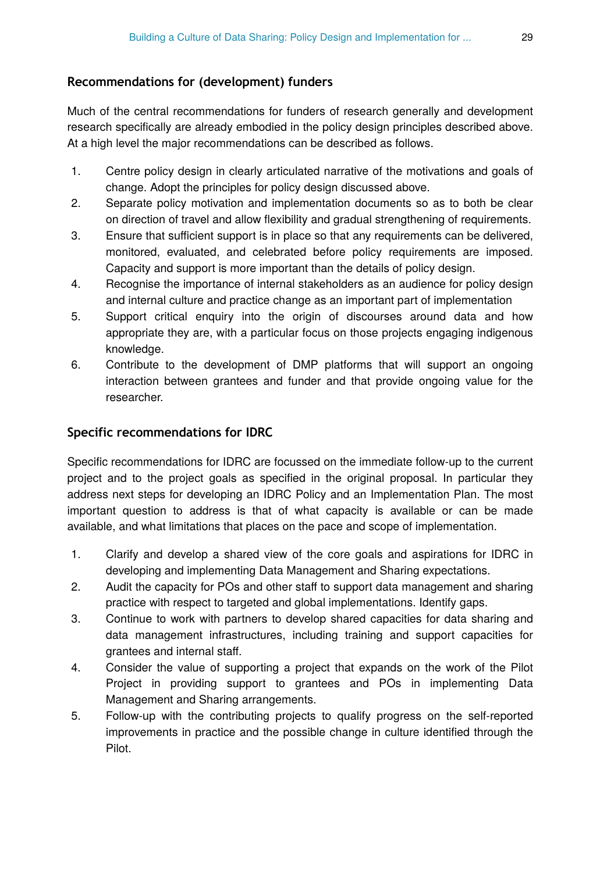# **Recommendations for (development) funders**

Much of the central recommendations for funders of research generally and development research specifically are already embodied in the policy design principles described above. At a high level the major recommendations can be described as follows.

- 1. Centre policy design in clearly articulated narrative of the motivations and goals of change. Adopt the principles for policy design discussed above.
- 2. Separate policy motivation and implementation documents so as to both be clear on direction of travel and allow flexibility and gradual strengthening of requirements.
- 3. Ensure that sufficient support is in place so that any requirements can be delivered, monitored, evaluated, and celebrated before policy requirements are imposed. Capacity and support is more important than the details of policy design.
- 4. Recognise the importance of internal stakeholders as an audience for policy design and internal culture and practice change as an important part of implementation
- 5. Support critical enquiry into the origin of discourses around data and how appropriate they are, with a particular focus on those projects engaging indigenous knowledge.
- 6. Contribute to the development of DMP platforms that will support an ongoing interaction between grantees and funder and that provide ongoing value for the researcher.

# **Specific recommendations for IDRC**

Specific recommendations for IDRC are focussed on the immediate follow-up to the current project and to the project goals as specified in the original proposal. In particular they address next steps for developing an IDRC Policy and an Implementation Plan. The most important question to address is that of what capacity is available or can be made available, and what limitations that places on the pace and scope of implementation.

- 1. Clarify and develop a shared view of the core goals and aspirations for IDRC in developing and implementing Data Management and Sharing expectations.
- 2. Audit the capacity for POs and other staff to support data management and sharing practice with respect to targeted and global implementations. Identify gaps.
- 3. Continue to work with partners to develop shared capacities for data sharing and data management infrastructures, including training and support capacities for grantees and internal staff.
- 4. Consider the value of supporting a project that expands on the work of the Pilot Project in providing support to grantees and POs in implementing Data Management and Sharing arrangements.
- 5. Follow-up with the contributing projects to qualify progress on the self-reported improvements in practice and the possible change in culture identified through the Pilot.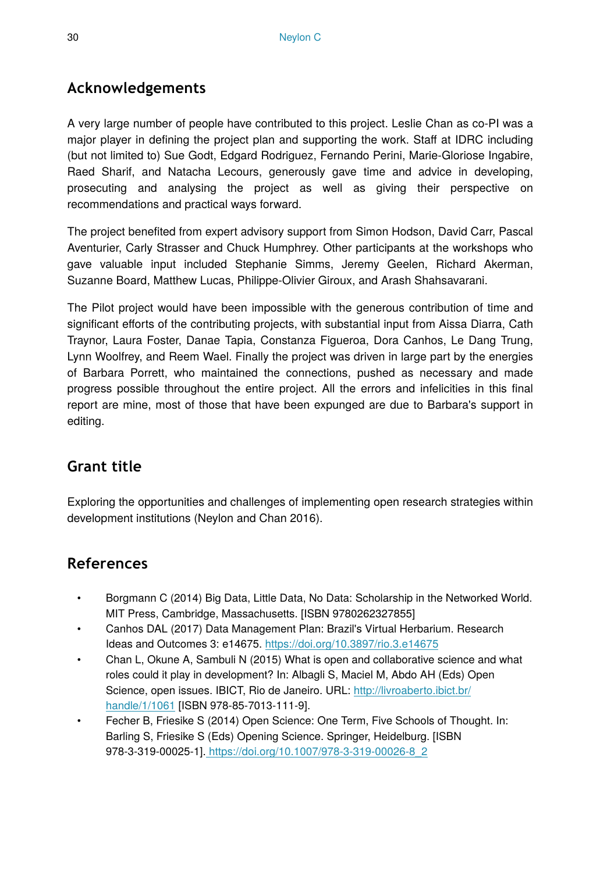# **Acknowledgements**

A very large number of people have contributed to this project. Leslie Chan as co-PI was a major player in defining the project plan and supporting the work. Staff at IDRC including (but not limited to) Sue Godt, Edgard Rodriguez, Fernando Perini, Marie-Gloriose Ingabire, Raed Sharif, and Natacha Lecours, generously gave time and advice in developing, prosecuting and analysing the project as well as giving their perspective on recommendations and practical ways forward.

The project benefited from expert advisory support from Simon Hodson, David Carr, Pascal Aventurier, Carly Strasser and Chuck Humphrey. Other participants at the workshops who gave valuable input included Stephanie Simms, Jeremy Geelen, Richard Akerman, Suzanne Board, Matthew Lucas, Philippe-Olivier Giroux, and Arash Shahsavarani.

The Pilot project would have been impossible with the generous contribution of time and significant efforts of the contributing projects, with substantial input from Aissa Diarra, Cath Traynor, Laura Foster, Danae Tapia, Constanza Figueroa, Dora Canhos, Le Dang Trung, Lynn Woolfrey, and Reem Wael. Finally the project was driven in large part by the energies of Barbara Porrett, who maintained the connections, pushed as necessary and made progress possible throughout the entire project. All the errors and infelicities in this final report are mine, most of those that have been expunged are due to Barbara's support in editing.

# **Grant title**

Exploring the opportunities and challenges of implementing open research strategies within development institutions (Neylon and Chan 2016).

# **References**

- Borgmann C (2014) Big Data, Little Data, No Data: Scholarship in the Networked World. MIT Press, Cambridge, Massachusetts. [ISBN 9780262327855]
- Canhos DAL (2017) Data Management Plan: Brazil's Virtual Herbarium. Research Ideas and Outcomes 3: e14675. <https://doi.org/10.3897/rio.3.e14675>
- Chan L, Okune A, Sambuli N (2015) What is open and collaborative science and what roles could it play in development? In: Albagli S, Maciel M, Abdo AH (Eds) Open Science, open issues. IBICT, Rio de Janeiro. URL: [http://livroaberto.ibict.br/](http://livroaberto.ibict.br/handle/1/1061) [handle/1/1061](http://livroaberto.ibict.br/handle/1/1061) [ISBN 978-85-7013-111-9].
- Fecher B, Friesike S (2014) Open Science: One Term, Five Schools of Thought. In: Barling S, Friesike S (Eds) Opening Science. Springer, Heidelburg. [ISBN 978-3-319-00025-1][. https://doi.org/10.1007/978-3-319-00026-8\\_2](https://doi.org/10.1007/978-3-319-00026-8_2)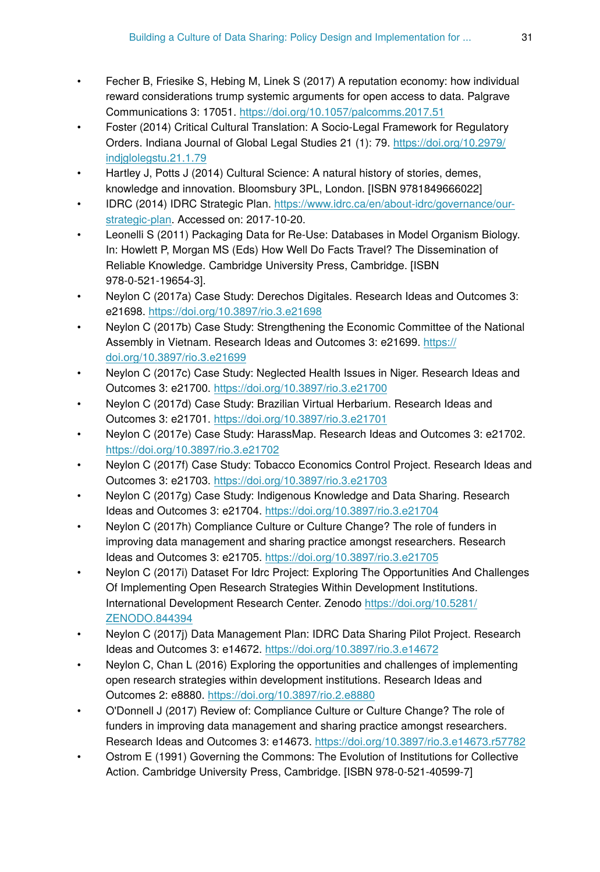- Fecher B, Friesike S, Hebing M, Linek S (2017) A reputation economy: how individual reward considerations trump systemic arguments for open access to data. Palgrave Communications 3: 17051. <https://doi.org/10.1057/palcomms.2017.51>
- Foster (2014) Critical Cultural Translation: A Socio-Legal Framework for Regulatory Orders. Indiana Journal of Global Legal Studies 21 (1): 79. [https://doi.org/10.2979/](https://doi.org/10.2979/indjglolegstu.21.1.79) [indjglolegstu.21.1.79](https://doi.org/10.2979/indjglolegstu.21.1.79)
- Hartley J, Potts J (2014) Cultural Science: A natural history of stories, demes, knowledge and innovation. Bloomsbury 3PL, London. [ISBN 9781849666022]
- IDRC (2014) IDRC Strategic Plan. [https://www.idrc.ca/en/about-idrc/governance/our](https://www.idrc.ca/en/about-idrc/governance/our-strategic-plan)[strategic-plan.](https://www.idrc.ca/en/about-idrc/governance/our-strategic-plan) Accessed on: 2017-10-20.
- Leonelli S (2011) Packaging Data for Re-Use: Databases in Model Organism Biology. In: Howlett P, Morgan MS (Eds) How Well Do Facts Travel? The Dissemination of Reliable Knowledge. Cambridge University Press, Cambridge. [ISBN 978-0-521-19654-3].
- Neylon C (2017a) Case Study: Derechos Digitales. Research Ideas and Outcomes 3: e21698. <https://doi.org/10.3897/rio.3.e21698>
- Neylon C (2017b) Case Study: Strengthening the Economic Committee of the National Assembly in Vietnam. Research Ideas and Outcomes 3: e21699. [https://](https://doi.org/10.3897/rio.3.e21699) [doi.org/10.3897/rio.3.e21699](https://doi.org/10.3897/rio.3.e21699)
- Neylon C (2017c) Case Study: Neglected Health Issues in Niger. Research Ideas and Outcomes 3: e21700. <https://doi.org/10.3897/rio.3.e21700>
- Neylon C (2017d) Case Study: Brazilian Virtual Herbarium. Research Ideas and Outcomes 3: e21701. <https://doi.org/10.3897/rio.3.e21701>
- Neylon C (2017e) Case Study: HarassMap. Research Ideas and Outcomes 3: e21702. <https://doi.org/10.3897/rio.3.e21702>
- Neylon C (2017f) Case Study: Tobacco Economics Control Project. Research Ideas and Outcomes 3: e21703. <https://doi.org/10.3897/rio.3.e21703>
- Neylon C (2017g) Case Study: Indigenous Knowledge and Data Sharing. Research Ideas and Outcomes 3: e21704. <https://doi.org/10.3897/rio.3.e21704>
- Neylon C (2017h) Compliance Culture or Culture Change? The role of funders in improving data management and sharing practice amongst researchers. Research Ideas and Outcomes 3: e21705. <https://doi.org/10.3897/rio.3.e21705>
- Neylon C (2017i) Dataset For Idrc Project: Exploring The Opportunities And Challenges Of Implementing Open Research Strategies Within Development Institutions. International Development Research Center. Zenodo [https://doi.org/10.5281/](https://doi.org/10.5281/ZENODO.844394) [ZENODO.844394](https://doi.org/10.5281/ZENODO.844394)
- Neylon C (2017j) Data Management Plan: IDRC Data Sharing Pilot Project. Research Ideas and Outcomes 3: e14672. <https://doi.org/10.3897/rio.3.e14672>
- Neylon C, Chan L (2016) Exploring the opportunities and challenges of implementing open research strategies within development institutions. Research Ideas and Outcomes 2: e8880. <https://doi.org/10.3897/rio.2.e8880>
- O'Donnell J (2017) Review of: Compliance Culture or Culture Change? The role of funders in improving data management and sharing practice amongst researchers. Research Ideas and Outcomes 3: e14673.<https://doi.org/10.3897/rio.3.e14673.r57782>
- Ostrom E (1991) Governing the Commons: The Evolution of Institutions for Collective Action. Cambridge University Press, Cambridge. [ISBN 978-0-521-40599-7]